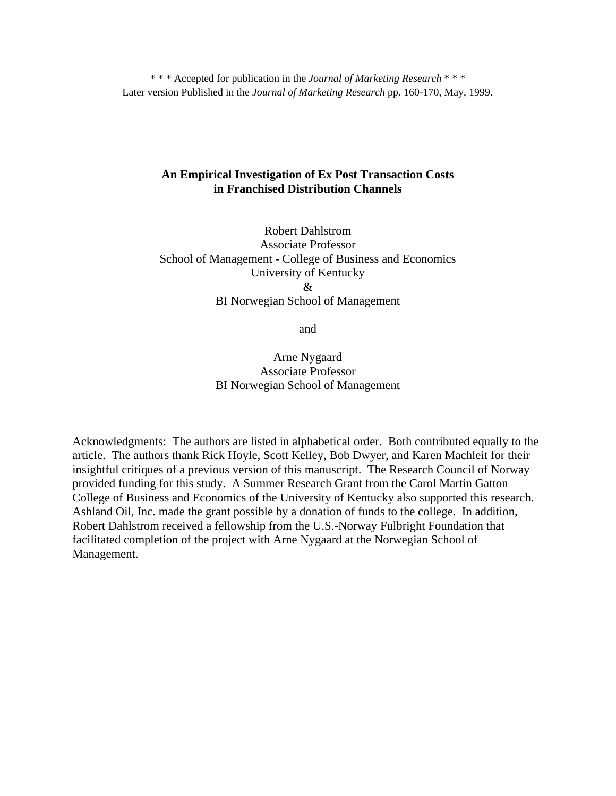\* \* \* Accepted for publication in the *Journal of Marketing Research* \* \* \* Later version Published in the *Journal of Marketing Research* pp. 160-170, May, 1999.

# **An Empirical Investigation of Ex Post Transaction Costs in Franchised Distribution Channels**

Robert Dahlstrom Associate Professor School of Management - College of Business and Economics University of Kentucky & BI Norwegian School of Management

and

# Arne Nygaard Associate Professor BI Norwegian School of Management

Acknowledgments: The authors are listed in alphabetical order. Both contributed equally to the article. The authors thank Rick Hoyle, Scott Kelley, Bob Dwyer, and Karen Machleit for their insightful critiques of a previous version of this manuscript. The Research Council of Norway provided funding for this study. A Summer Research Grant from the Carol Martin Gatton College of Business and Economics of the University of Kentucky also supported this research. Ashland Oil, Inc. made the grant possible by a donation of funds to the college. In addition, Robert Dahlstrom received a fellowship from the U.S.-Norway Fulbright Foundation that facilitated completion of the project with Arne Nygaard at the Norwegian School of Management.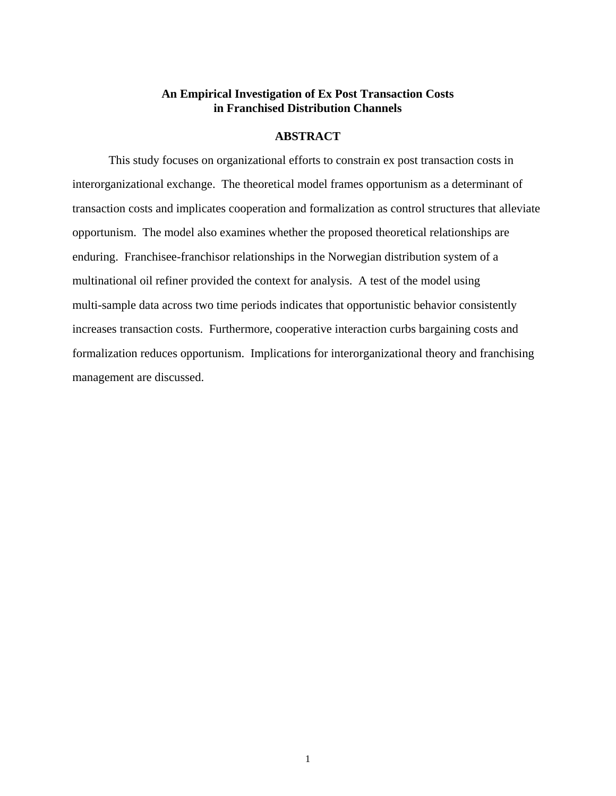# **An Empirical Investigation of Ex Post Transaction Costs in Franchised Distribution Channels**

### **ABSTRACT**

This study focuses on organizational efforts to constrain ex post transaction costs in interorganizational exchange. The theoretical model frames opportunism as a determinant of transaction costs and implicates cooperation and formalization as control structures that alleviate opportunism. The model also examines whether the proposed theoretical relationships are enduring. Franchisee-franchisor relationships in the Norwegian distribution system of a multinational oil refiner provided the context for analysis. A test of the model using multi-sample data across two time periods indicates that opportunistic behavior consistently increases transaction costs. Furthermore, cooperative interaction curbs bargaining costs and formalization reduces opportunism. Implications for interorganizational theory and franchising management are discussed.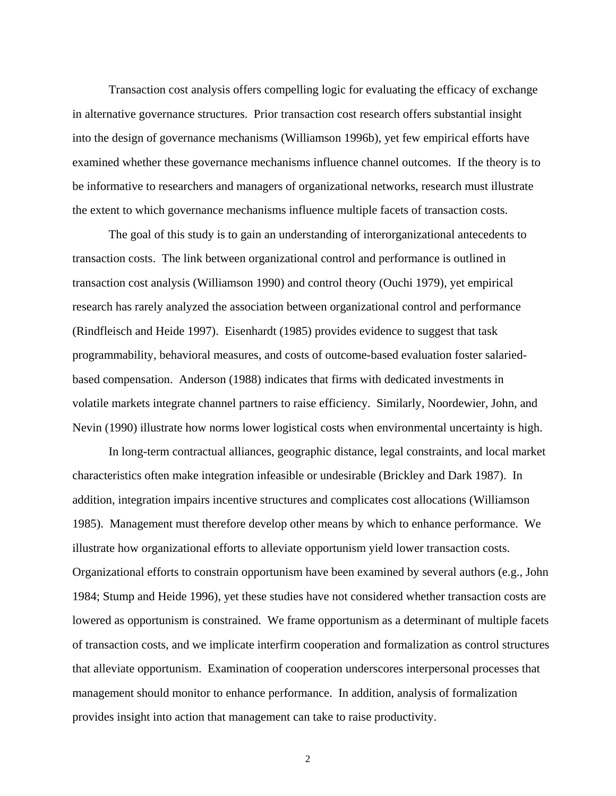Transaction cost analysis offers compelling logic for evaluating the efficacy of exchange in alternative governance structures. Prior transaction cost research offers substantial insight into the design of governance mechanisms (Williamson 1996b), yet few empirical efforts have examined whether these governance mechanisms influence channel outcomes. If the theory is to be informative to researchers and managers of organizational networks, research must illustrate the extent to which governance mechanisms influence multiple facets of transaction costs.

The goal of this study is to gain an understanding of interorganizational antecedents to transaction costs. The link between organizational control and performance is outlined in transaction cost analysis (Williamson 1990) and control theory (Ouchi 1979), yet empirical research has rarely analyzed the association between organizational control and performance (Rindfleisch and Heide 1997). Eisenhardt (1985) provides evidence to suggest that task programmability, behavioral measures, and costs of outcome-based evaluation foster salariedbased compensation. Anderson (1988) indicates that firms with dedicated investments in volatile markets integrate channel partners to raise efficiency. Similarly, Noordewier, John, and Nevin (1990) illustrate how norms lower logistical costs when environmental uncertainty is high.

In long-term contractual alliances, geographic distance, legal constraints, and local market characteristics often make integration infeasible or undesirable (Brickley and Dark 1987). In addition, integration impairs incentive structures and complicates cost allocations (Williamson 1985). Management must therefore develop other means by which to enhance performance. We illustrate how organizational efforts to alleviate opportunism yield lower transaction costs. Organizational efforts to constrain opportunism have been examined by several authors (e.g., John 1984; Stump and Heide 1996), yet these studies have not considered whether transaction costs are lowered as opportunism is constrained. We frame opportunism as a determinant of multiple facets of transaction costs, and we implicate interfirm cooperation and formalization as control structures that alleviate opportunism. Examination of cooperation underscores interpersonal processes that management should monitor to enhance performance. In addition, analysis of formalization provides insight into action that management can take to raise productivity.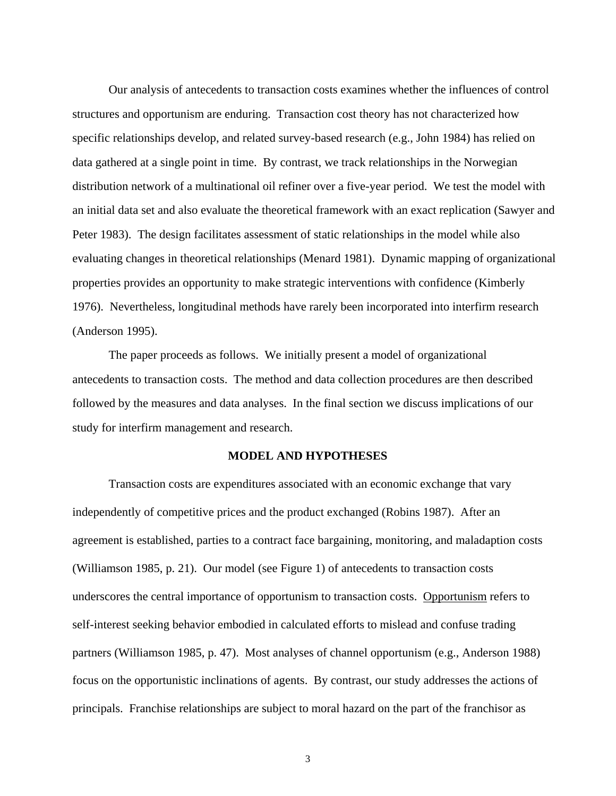Our analysis of antecedents to transaction costs examines whether the influences of control structures and opportunism are enduring. Transaction cost theory has not characterized how specific relationships develop, and related survey-based research (e.g., John 1984) has relied on data gathered at a single point in time. By contrast, we track relationships in the Norwegian distribution network of a multinational oil refiner over a five-year period. We test the model with an initial data set and also evaluate the theoretical framework with an exact replication (Sawyer and Peter 1983). The design facilitates assessment of static relationships in the model while also evaluating changes in theoretical relationships (Menard 1981). Dynamic mapping of organizational properties provides an opportunity to make strategic interventions with confidence (Kimberly 1976). Nevertheless, longitudinal methods have rarely been incorporated into interfirm research (Anderson 1995).

 The paper proceeds as follows. We initially present a model of organizational antecedents to transaction costs. The method and data collection procedures are then described followed by the measures and data analyses. In the final section we discuss implications of our study for interfirm management and research.

# **MODEL AND HYPOTHESES**

 Transaction costs are expenditures associated with an economic exchange that vary independently of competitive prices and the product exchanged (Robins 1987). After an agreement is established, parties to a contract face bargaining, monitoring, and maladaption costs (Williamson 1985, p. 21). Our model (see Figure 1) of antecedents to transaction costs underscores the central importance of opportunism to transaction costs. Opportunism refers to self-interest seeking behavior embodied in calculated efforts to mislead and confuse trading partners (Williamson 1985, p. 47). Most analyses of channel opportunism (e.g., Anderson 1988) focus on the opportunistic inclinations of agents. By contrast, our study addresses the actions of principals. Franchise relationships are subject to moral hazard on the part of the franchisor as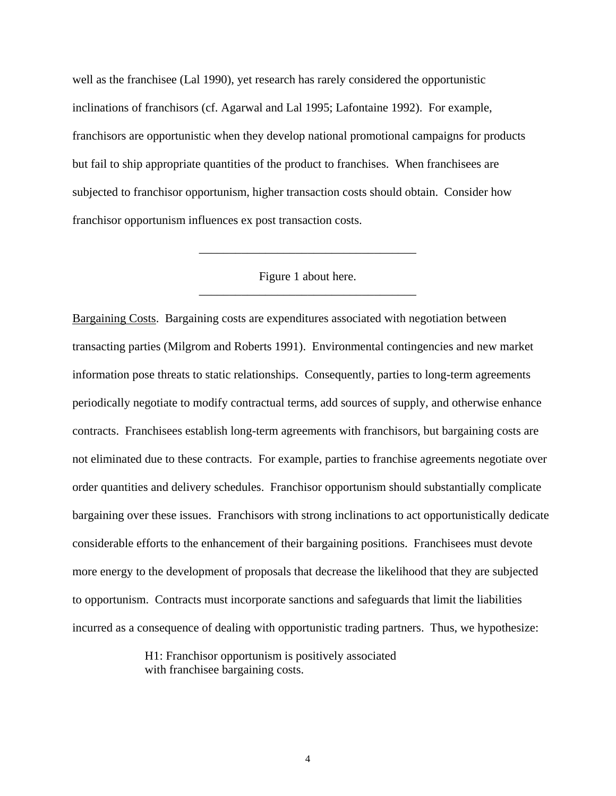well as the franchisee (Lal 1990), yet research has rarely considered the opportunistic inclinations of franchisors (cf. Agarwal and Lal 1995; Lafontaine 1992). For example, franchisors are opportunistic when they develop national promotional campaigns for products but fail to ship appropriate quantities of the product to franchises. When franchisees are subjected to franchisor opportunism, higher transaction costs should obtain. Consider how franchisor opportunism influences ex post transaction costs.

> Figure 1 about here. \_\_\_\_\_\_\_\_\_\_\_\_\_\_\_\_\_\_\_\_\_\_\_\_\_\_\_\_\_\_\_\_\_\_\_\_

> \_\_\_\_\_\_\_\_\_\_\_\_\_\_\_\_\_\_\_\_\_\_\_\_\_\_\_\_\_\_\_\_\_\_\_\_

Bargaining Costs. Bargaining costs are expenditures associated with negotiation between transacting parties (Milgrom and Roberts 1991). Environmental contingencies and new market information pose threats to static relationships. Consequently, parties to long-term agreements periodically negotiate to modify contractual terms, add sources of supply, and otherwise enhance contracts. Franchisees establish long-term agreements with franchisors, but bargaining costs are not eliminated due to these contracts. For example, parties to franchise agreements negotiate over order quantities and delivery schedules. Franchisor opportunism should substantially complicate bargaining over these issues. Franchisors with strong inclinations to act opportunistically dedicate considerable efforts to the enhancement of their bargaining positions. Franchisees must devote more energy to the development of proposals that decrease the likelihood that they are subjected to opportunism. Contracts must incorporate sanctions and safeguards that limit the liabilities incurred as a consequence of dealing with opportunistic trading partners. Thus, we hypothesize:

> H1: Franchisor opportunism is positively associated with franchisee bargaining costs.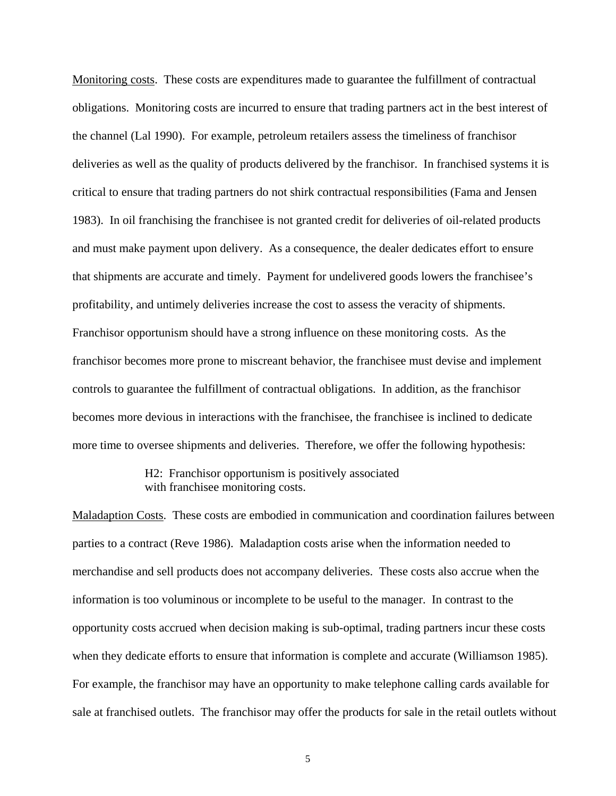Monitoring costs. These costs are expenditures made to guarantee the fulfillment of contractual obligations. Monitoring costs are incurred to ensure that trading partners act in the best interest of the channel (Lal 1990). For example, petroleum retailers assess the timeliness of franchisor deliveries as well as the quality of products delivered by the franchisor. In franchised systems it is critical to ensure that trading partners do not shirk contractual responsibilities (Fama and Jensen 1983). In oil franchising the franchisee is not granted credit for deliveries of oil-related products and must make payment upon delivery. As a consequence, the dealer dedicates effort to ensure that shipments are accurate and timely. Payment for undelivered goods lowers the franchisee's profitability, and untimely deliveries increase the cost to assess the veracity of shipments. Franchisor opportunism should have a strong influence on these monitoring costs. As the franchisor becomes more prone to miscreant behavior, the franchisee must devise and implement controls to guarantee the fulfillment of contractual obligations. In addition, as the franchisor becomes more devious in interactions with the franchisee, the franchisee is inclined to dedicate more time to oversee shipments and deliveries. Therefore, we offer the following hypothesis:

> H2: Franchisor opportunism is positively associated with franchisee monitoring costs.

Maladaption Costs. These costs are embodied in communication and coordination failures between parties to a contract (Reve 1986). Maladaption costs arise when the information needed to merchandise and sell products does not accompany deliveries. These costs also accrue when the information is too voluminous or incomplete to be useful to the manager. In contrast to the opportunity costs accrued when decision making is sub-optimal, trading partners incur these costs when they dedicate efforts to ensure that information is complete and accurate (Williamson 1985). For example, the franchisor may have an opportunity to make telephone calling cards available for sale at franchised outlets. The franchisor may offer the products for sale in the retail outlets without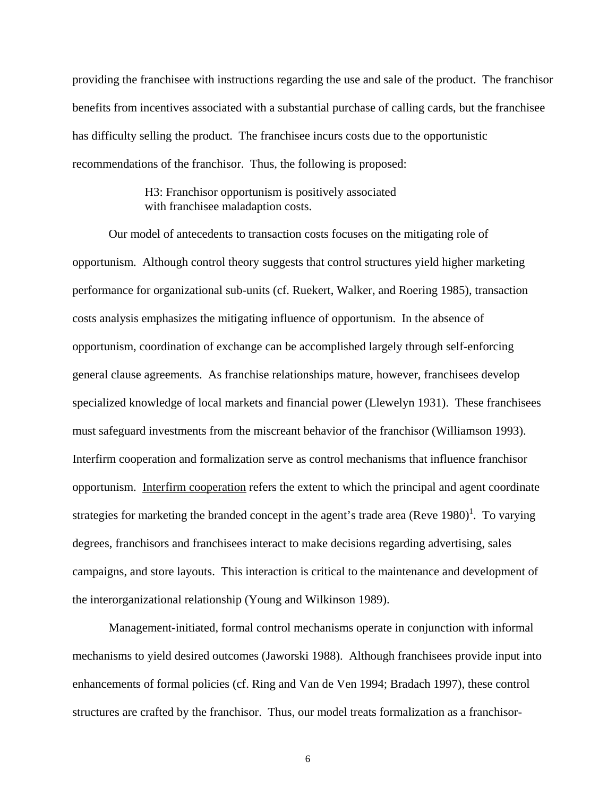providing the franchisee with instructions regarding the use and sale of the product. The franchisor benefits from incentives associated with a substantial purchase of calling cards, but the franchisee has difficulty selling the product. The franchisee incurs costs due to the opportunistic recommendations of the franchisor. Thus, the following is proposed:

> H3: Franchisor opportunism is positively associated with franchisee maladaption costs.

Our model of antecedents to transaction costs focuses on the mitigating role of opportunism. Although control theory suggests that control structures yield higher marketing performance for organizational sub-units (cf. Ruekert, Walker, and Roering 1985), transaction costs analysis emphasizes the mitigating influence of opportunism. In the absence of opportunism, coordination of exchange can be accomplished largely through self-enforcing general clause agreements. As franchise relationships mature, however, franchisees develop specialized knowledge of local markets and financial power (Llewelyn 1931). These franchisees must safeguard investments from the miscreant behavior of the franchisor (Williamson 1993). Interfirm cooperation and formalization serve as control mechanisms that influence franchisor opportunism. Interfirm cooperation refers the extent to which the principal and agent coordinate strategies for marketing the branded concept in the agent's trade area (Reve  $1980$ )<sup>1</sup>. To varying degrees, franchisors and franchisees interact to make decisions regarding advertising, sales campaigns, and store layouts. This interaction is critical to the maintenance and development of the interorganizational relationship (Young and Wilkinson 1989).

Management-initiated, formal control mechanisms operate in conjunction with informal mechanisms to yield desired outcomes (Jaworski 1988). Although franchisees provide input into enhancements of formal policies (cf. Ring and Van de Ven 1994; Bradach 1997), these control structures are crafted by the franchisor. Thus, our model treats formalization as a franchisor-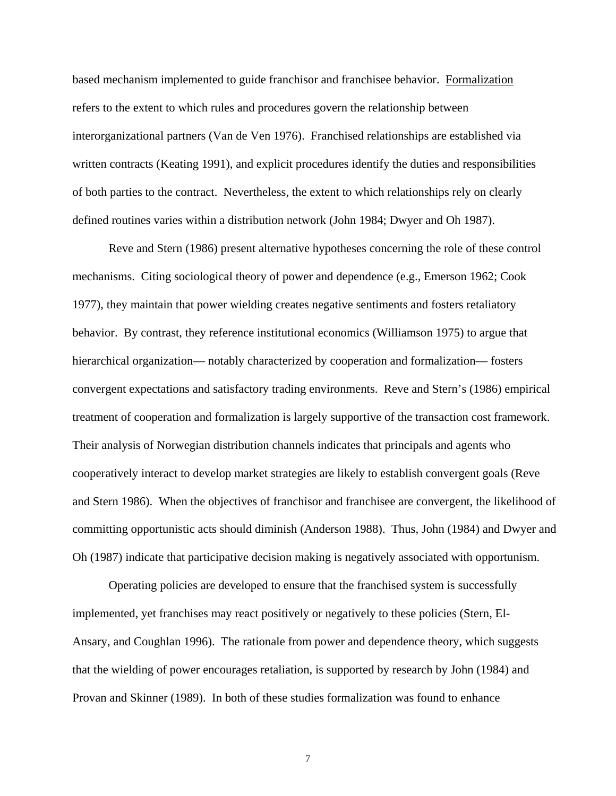based mechanism implemented to guide franchisor and franchisee behavior. Formalization refers to the extent to which rules and procedures govern the relationship between interorganizational partners (Van de Ven 1976). Franchised relationships are established via written contracts (Keating 1991), and explicit procedures identify the duties and responsibilities of both parties to the contract. Nevertheless, the extent to which relationships rely on clearly defined routines varies within a distribution network (John 1984; Dwyer and Oh 1987).

Reve and Stern (1986) present alternative hypotheses concerning the role of these control mechanisms. Citing sociological theory of power and dependence (e.g., Emerson 1962; Cook 1977), they maintain that power wielding creates negative sentiments and fosters retaliatory behavior. By contrast, they reference institutional economics (Williamson 1975) to argue that hierarchical organization— notably characterized by cooperation and formalization— fosters convergent expectations and satisfactory trading environments. Reve and Stern's (1986) empirical treatment of cooperation and formalization is largely supportive of the transaction cost framework. Their analysis of Norwegian distribution channels indicates that principals and agents who cooperatively interact to develop market strategies are likely to establish convergent goals (Reve and Stern 1986). When the objectives of franchisor and franchisee are convergent, the likelihood of committing opportunistic acts should diminish (Anderson 1988). Thus, John (1984) and Dwyer and Oh (1987) indicate that participative decision making is negatively associated with opportunism.

Operating policies are developed to ensure that the franchised system is successfully implemented, yet franchises may react positively or negatively to these policies (Stern, El-Ansary, and Coughlan 1996). The rationale from power and dependence theory, which suggests that the wielding of power encourages retaliation, is supported by research by John (1984) and Provan and Skinner (1989). In both of these studies formalization was found to enhance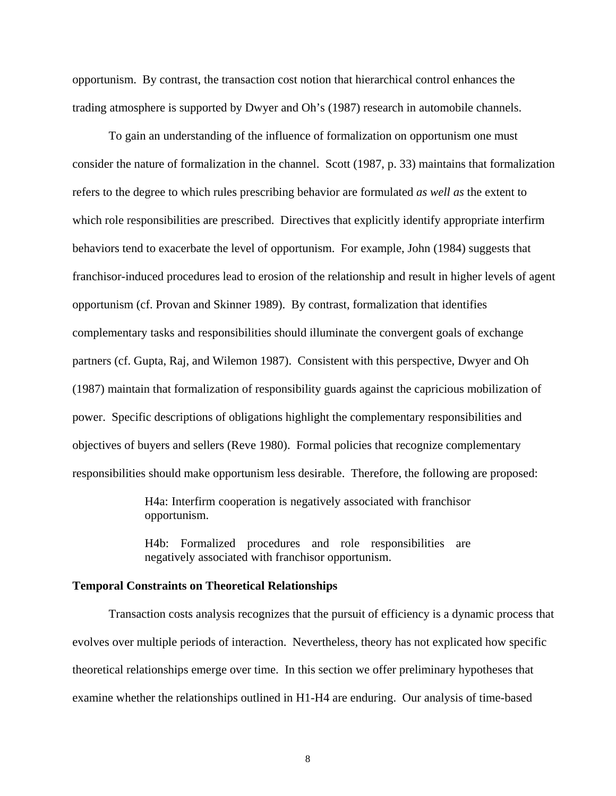opportunism. By contrast, the transaction cost notion that hierarchical control enhances the trading atmosphere is supported by Dwyer and Oh's (1987) research in automobile channels.

To gain an understanding of the influence of formalization on opportunism one must consider the nature of formalization in the channel. Scott (1987, p. 33) maintains that formalization refers to the degree to which rules prescribing behavior are formulated *as well as* the extent to which role responsibilities are prescribed. Directives that explicitly identify appropriate interfirm behaviors tend to exacerbate the level of opportunism. For example, John (1984) suggests that franchisor-induced procedures lead to erosion of the relationship and result in higher levels of agent opportunism (cf. Provan and Skinner 1989). By contrast, formalization that identifies complementary tasks and responsibilities should illuminate the convergent goals of exchange partners (cf. Gupta, Raj, and Wilemon 1987). Consistent with this perspective, Dwyer and Oh (1987) maintain that formalization of responsibility guards against the capricious mobilization of power. Specific descriptions of obligations highlight the complementary responsibilities and objectives of buyers and sellers (Reve 1980). Formal policies that recognize complementary responsibilities should make opportunism less desirable. Therefore, the following are proposed:

> H4a: Interfirm cooperation is negatively associated with franchisor opportunism.

> H4b: Formalized procedures and role responsibilities are negatively associated with franchisor opportunism.

## **Temporal Constraints on Theoretical Relationships**

 Transaction costs analysis recognizes that the pursuit of efficiency is a dynamic process that evolves over multiple periods of interaction. Nevertheless, theory has not explicated how specific theoretical relationships emerge over time. In this section we offer preliminary hypotheses that examine whether the relationships outlined in H1-H4 are enduring. Our analysis of time-based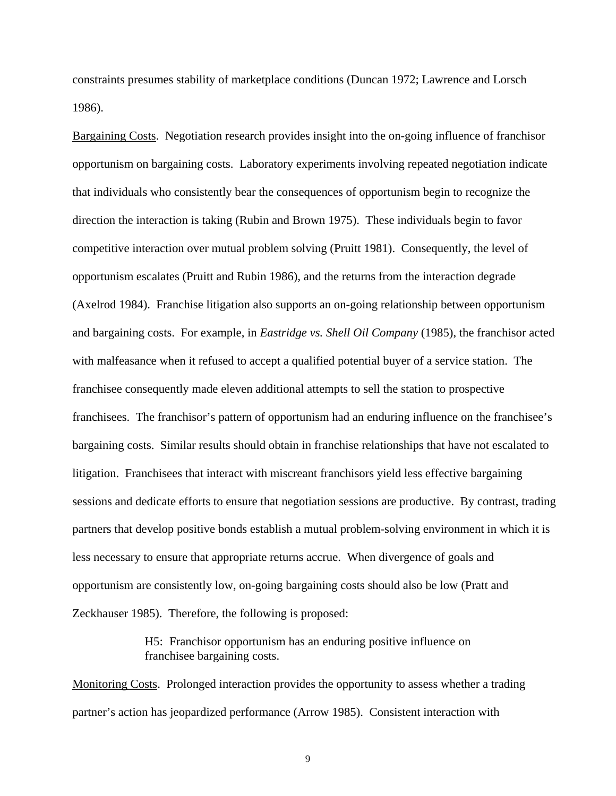constraints presumes stability of marketplace conditions (Duncan 1972; Lawrence and Lorsch 1986).

Bargaining Costs. Negotiation research provides insight into the on-going influence of franchisor opportunism on bargaining costs. Laboratory experiments involving repeated negotiation indicate that individuals who consistently bear the consequences of opportunism begin to recognize the direction the interaction is taking (Rubin and Brown 1975). These individuals begin to favor competitive interaction over mutual problem solving (Pruitt 1981). Consequently, the level of opportunism escalates (Pruitt and Rubin 1986), and the returns from the interaction degrade (Axelrod 1984). Franchise litigation also supports an on-going relationship between opportunism and bargaining costs. For example, in *Eastridge vs. Shell Oil Company* (1985), the franchisor acted with malfeasance when it refused to accept a qualified potential buyer of a service station. The franchisee consequently made eleven additional attempts to sell the station to prospective franchisees. The franchisor's pattern of opportunism had an enduring influence on the franchisee's bargaining costs. Similar results should obtain in franchise relationships that have not escalated to litigation. Franchisees that interact with miscreant franchisors yield less effective bargaining sessions and dedicate efforts to ensure that negotiation sessions are productive. By contrast, trading partners that develop positive bonds establish a mutual problem-solving environment in which it is less necessary to ensure that appropriate returns accrue. When divergence of goals and opportunism are consistently low, on-going bargaining costs should also be low (Pratt and Zeckhauser 1985). Therefore, the following is proposed:

> H5: Franchisor opportunism has an enduring positive influence on franchisee bargaining costs.

Monitoring Costs. Prolonged interaction provides the opportunity to assess whether a trading partner's action has jeopardized performance (Arrow 1985). Consistent interaction with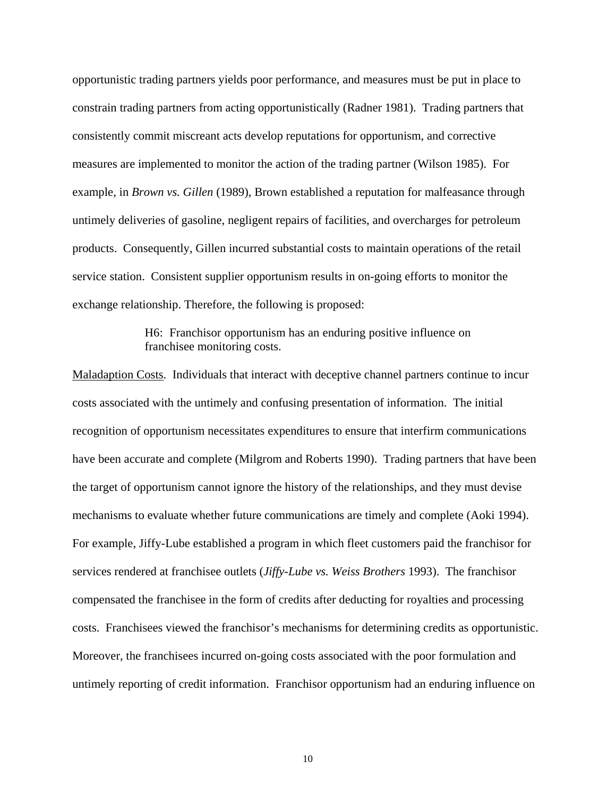opportunistic trading partners yields poor performance, and measures must be put in place to constrain trading partners from acting opportunistically (Radner 1981). Trading partners that consistently commit miscreant acts develop reputations for opportunism, and corrective measures are implemented to monitor the action of the trading partner (Wilson 1985). For example, in *Brown vs. Gillen* (1989), Brown established a reputation for malfeasance through untimely deliveries of gasoline, negligent repairs of facilities, and overcharges for petroleum products. Consequently, Gillen incurred substantial costs to maintain operations of the retail service station. Consistent supplier opportunism results in on-going efforts to monitor the exchange relationship. Therefore, the following is proposed:

# H6: Franchisor opportunism has an enduring positive influence on franchisee monitoring costs.

Maladaption Costs. Individuals that interact with deceptive channel partners continue to incur costs associated with the untimely and confusing presentation of information. The initial recognition of opportunism necessitates expenditures to ensure that interfirm communications have been accurate and complete (Milgrom and Roberts 1990). Trading partners that have been the target of opportunism cannot ignore the history of the relationships, and they must devise mechanisms to evaluate whether future communications are timely and complete (Aoki 1994). For example, Jiffy-Lube established a program in which fleet customers paid the franchisor for services rendered at franchisee outlets (*Jiffy-Lube vs. Weiss Brothers* 1993). The franchisor compensated the franchisee in the form of credits after deducting for royalties and processing costs. Franchisees viewed the franchisor's mechanisms for determining credits as opportunistic. Moreover, the franchisees incurred on-going costs associated with the poor formulation and untimely reporting of credit information. Franchisor opportunism had an enduring influence on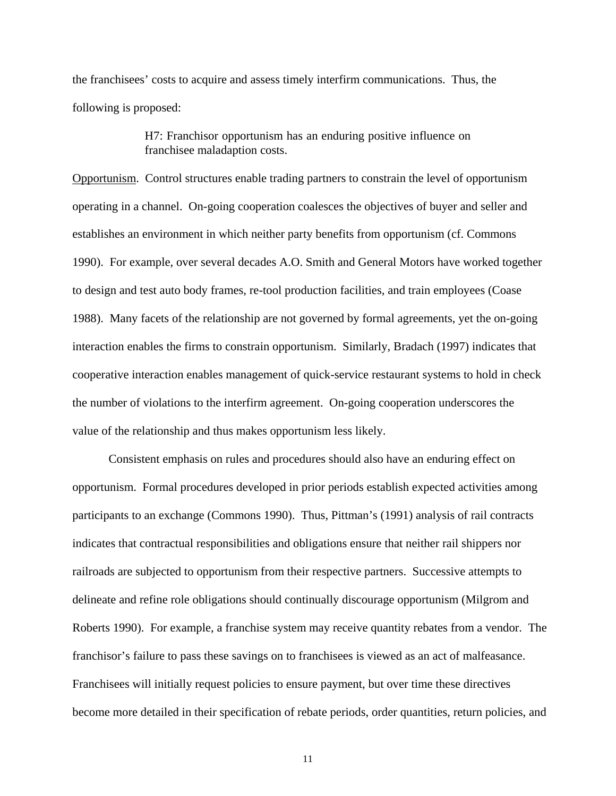the franchisees' costs to acquire and assess timely interfirm communications. Thus, the following is proposed:

> H7: Franchisor opportunism has an enduring positive influence on franchisee maladaption costs.

Opportunism. Control structures enable trading partners to constrain the level of opportunism operating in a channel. On-going cooperation coalesces the objectives of buyer and seller and establishes an environment in which neither party benefits from opportunism (cf. Commons 1990). For example, over several decades A.O. Smith and General Motors have worked together to design and test auto body frames, re-tool production facilities, and train employees (Coase 1988). Many facets of the relationship are not governed by formal agreements, yet the on-going interaction enables the firms to constrain opportunism. Similarly, Bradach (1997) indicates that cooperative interaction enables management of quick-service restaurant systems to hold in check the number of violations to the interfirm agreement. On-going cooperation underscores the value of the relationship and thus makes opportunism less likely.

Consistent emphasis on rules and procedures should also have an enduring effect on opportunism. Formal procedures developed in prior periods establish expected activities among participants to an exchange (Commons 1990). Thus, Pittman's (1991) analysis of rail contracts indicates that contractual responsibilities and obligations ensure that neither rail shippers nor railroads are subjected to opportunism from their respective partners. Successive attempts to delineate and refine role obligations should continually discourage opportunism (Milgrom and Roberts 1990). For example, a franchise system may receive quantity rebates from a vendor. The franchisor's failure to pass these savings on to franchisees is viewed as an act of malfeasance. Franchisees will initially request policies to ensure payment, but over time these directives become more detailed in their specification of rebate periods, order quantities, return policies, and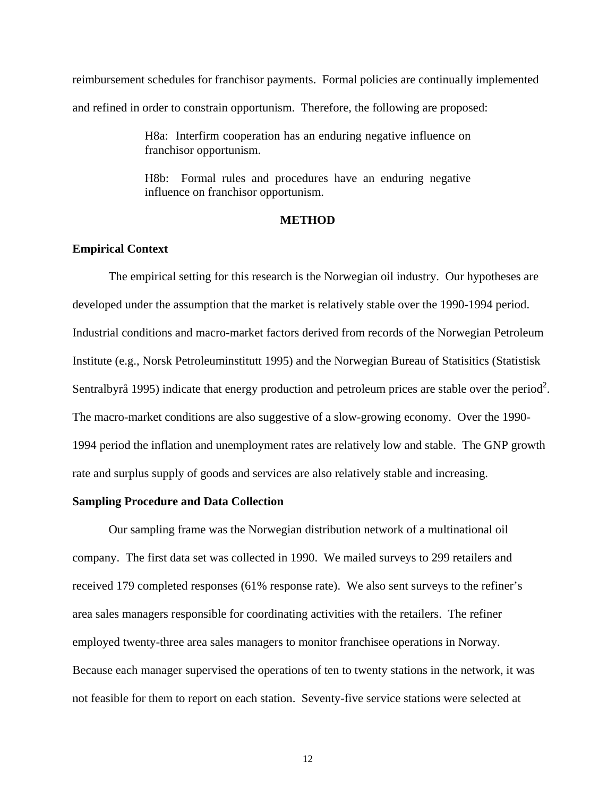reimbursement schedules for franchisor payments. Formal policies are continually implemented and refined in order to constrain opportunism. Therefore, the following are proposed:

> H8a: Interfirm cooperation has an enduring negative influence on franchisor opportunism.

> H8b: Formal rules and procedures have an enduring negative influence on franchisor opportunism.

### **METHOD**

## **Empirical Context**

The empirical setting for this research is the Norwegian oil industry. Our hypotheses are developed under the assumption that the market is relatively stable over the 1990-1994 period. Industrial conditions and macro-market factors derived from records of the Norwegian Petroleum Institute (e.g., Norsk Petroleuminstitutt 1995) and the Norwegian Bureau of Statisitics (Statistisk Sentralbyrå 1995) indicate that energy production and petroleum prices are stable over the period<sup>2</sup>. The macro-market conditions are also suggestive of a slow-growing economy. Over the 1990- 1994 period the inflation and unemployment rates are relatively low and stable. The GNP growth rate and surplus supply of goods and services are also relatively stable and increasing.

#### **Sampling Procedure and Data Collection**

 Our sampling frame was the Norwegian distribution network of a multinational oil company. The first data set was collected in 1990. We mailed surveys to 299 retailers and received 179 completed responses (61% response rate). We also sent surveys to the refiner's area sales managers responsible for coordinating activities with the retailers. The refiner employed twenty-three area sales managers to monitor franchisee operations in Norway. Because each manager supervised the operations of ten to twenty stations in the network, it was not feasible for them to report on each station. Seventy-five service stations were selected at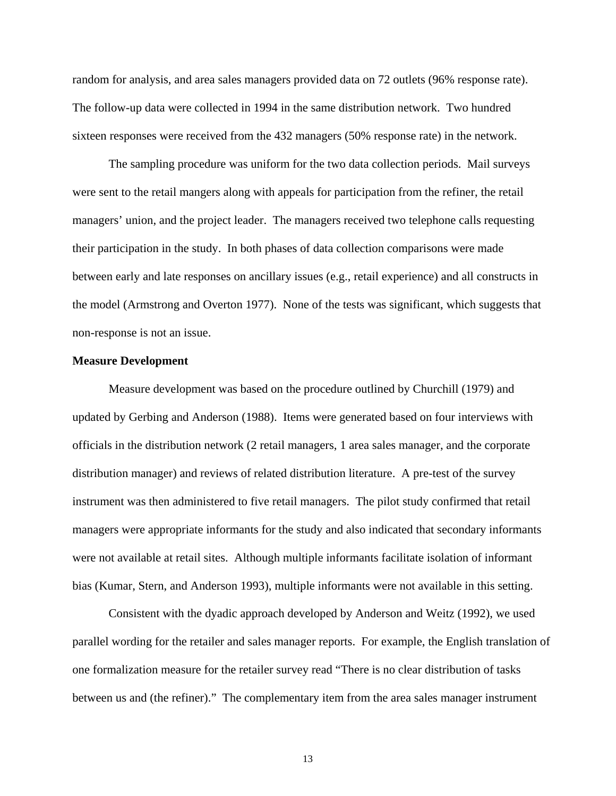random for analysis, and area sales managers provided data on 72 outlets (96% response rate). The follow-up data were collected in 1994 in the same distribution network. Two hundred sixteen responses were received from the 432 managers (50% response rate) in the network.

The sampling procedure was uniform for the two data collection periods. Mail surveys were sent to the retail mangers along with appeals for participation from the refiner, the retail managers' union, and the project leader. The managers received two telephone calls requesting their participation in the study. In both phases of data collection comparisons were made between early and late responses on ancillary issues (e.g., retail experience) and all constructs in the model (Armstrong and Overton 1977). None of the tests was significant, which suggests that non-response is not an issue.

## **Measure Development**

 Measure development was based on the procedure outlined by Churchill (1979) and updated by Gerbing and Anderson (1988). Items were generated based on four interviews with officials in the distribution network (2 retail managers, 1 area sales manager, and the corporate distribution manager) and reviews of related distribution literature. A pre-test of the survey instrument was then administered to five retail managers. The pilot study confirmed that retail managers were appropriate informants for the study and also indicated that secondary informants were not available at retail sites. Although multiple informants facilitate isolation of informant bias (Kumar, Stern, and Anderson 1993), multiple informants were not available in this setting.

 Consistent with the dyadic approach developed by Anderson and Weitz (1992), we used parallel wording for the retailer and sales manager reports. For example, the English translation of one formalization measure for the retailer survey read "There is no clear distribution of tasks between us and (the refiner)." The complementary item from the area sales manager instrument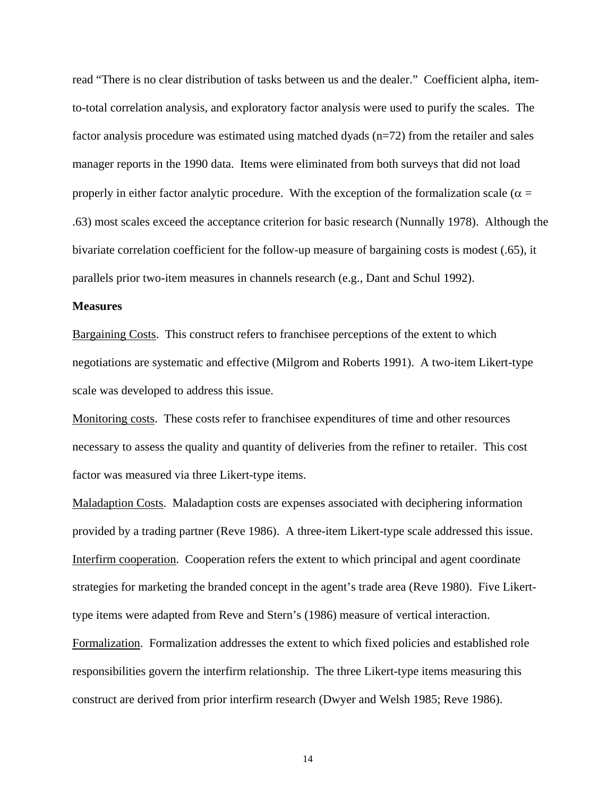read "There is no clear distribution of tasks between us and the dealer." Coefficient alpha, itemto-total correlation analysis, and exploratory factor analysis were used to purify the scales. The factor analysis procedure was estimated using matched dyads (n=72) from the retailer and sales manager reports in the 1990 data. Items were eliminated from both surveys that did not load properly in either factor analytic procedure. With the exception of the formalization scale ( $\alpha$  = .63) most scales exceed the acceptance criterion for basic research (Nunnally 1978). Although the bivariate correlation coefficient for the follow-up measure of bargaining costs is modest (.65), it parallels prior two-item measures in channels research (e.g., Dant and Schul 1992).

# **Measures**

Bargaining Costs. This construct refers to franchisee perceptions of the extent to which negotiations are systematic and effective (Milgrom and Roberts 1991). A two-item Likert-type scale was developed to address this issue.

Monitoring costs. These costs refer to franchisee expenditures of time and other resources necessary to assess the quality and quantity of deliveries from the refiner to retailer. This cost factor was measured via three Likert-type items.

Maladaption Costs. Maladaption costs are expenses associated with deciphering information provided by a trading partner (Reve 1986). A three-item Likert-type scale addressed this issue. Interfirm cooperation. Cooperation refers the extent to which principal and agent coordinate strategies for marketing the branded concept in the agent's trade area (Reve 1980). Five Likerttype items were adapted from Reve and Stern's (1986) measure of vertical interaction. Formalization. Formalization addresses the extent to which fixed policies and established role responsibilities govern the interfirm relationship. The three Likert-type items measuring this construct are derived from prior interfirm research (Dwyer and Welsh 1985; Reve 1986).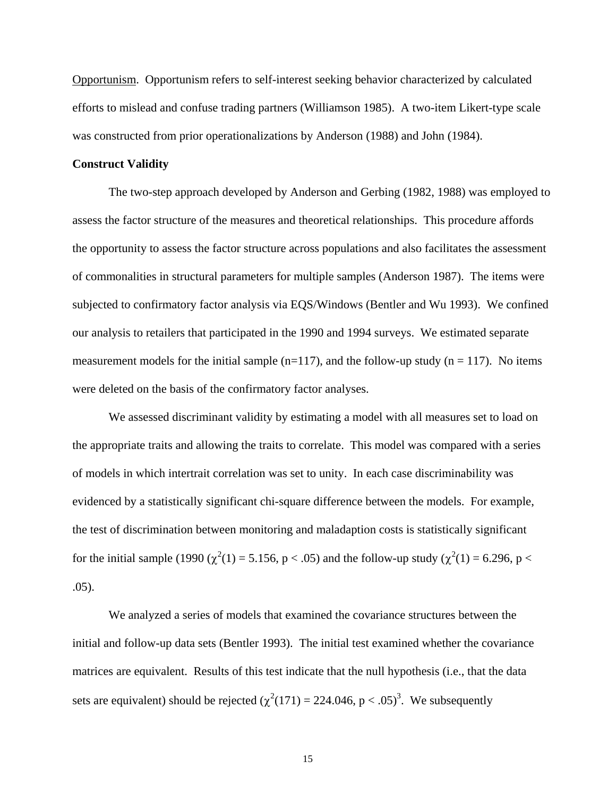Opportunism. Opportunism refers to self-interest seeking behavior characterized by calculated efforts to mislead and confuse trading partners (Williamson 1985). A two-item Likert-type scale was constructed from prior operationalizations by Anderson (1988) and John (1984).

#### **Construct Validity**

 The two-step approach developed by Anderson and Gerbing (1982, 1988) was employed to assess the factor structure of the measures and theoretical relationships. This procedure affords the opportunity to assess the factor structure across populations and also facilitates the assessment of commonalities in structural parameters for multiple samples (Anderson 1987). The items were subjected to confirmatory factor analysis via EQS/Windows (Bentler and Wu 1993). We confined our analysis to retailers that participated in the 1990 and 1994 surveys. We estimated separate measurement models for the initial sample  $(n=117)$ , and the follow-up study  $(n = 117)$ . No items were deleted on the basis of the confirmatory factor analyses.

 We assessed discriminant validity by estimating a model with all measures set to load on the appropriate traits and allowing the traits to correlate. This model was compared with a series of models in which intertrait correlation was set to unity. In each case discriminability was evidenced by a statistically significant chi-square difference between the models. For example, the test of discrimination between monitoring and maladaption costs is statistically significant for the initial sample (1990 ( $\chi^2(1) = 5.156$ , p < .05) and the follow-up study ( $\chi^2(1) = 6.296$ , p < .05).

 We analyzed a series of models that examined the covariance structures between the initial and follow-up data sets (Bentler 1993). The initial test examined whether the covariance matrices are equivalent. Results of this test indicate that the null hypothesis (i.e., that the data sets are equivalent) should be rejected  $(\chi^2(171) = 224.046, p < .05)^3$ . We subsequently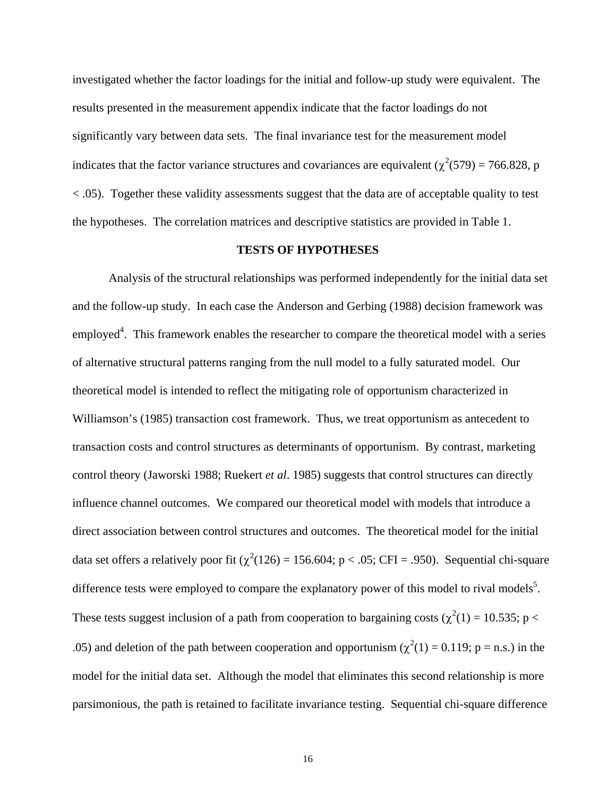investigated whether the factor loadings for the initial and follow-up study were equivalent. The results presented in the measurement appendix indicate that the factor loadings do not significantly vary between data sets. The final invariance test for the measurement model indicates that the factor variance structures and covariances are equivalent ( $\chi^2$ (579) = 766.828, p < .05). Together these validity assessments suggest that the data are of acceptable quality to test the hypotheses. The correlation matrices and descriptive statistics are provided in Table 1.

# **TESTS OF HYPOTHESES**

Analysis of the structural relationships was performed independently for the initial data set and the follow-up study. In each case the Anderson and Gerbing (1988) decision framework was employed<sup>4</sup>. This framework enables the researcher to compare the theoretical model with a series of alternative structural patterns ranging from the null model to a fully saturated model. Our theoretical model is intended to reflect the mitigating role of opportunism characterized in Williamson's (1985) transaction cost framework. Thus, we treat opportunism as antecedent to transaction costs and control structures as determinants of opportunism. By contrast, marketing control theory (Jaworski 1988; Ruekert *et al*. 1985) suggests that control structures can directly influence channel outcomes. We compared our theoretical model with models that introduce a direct association between control structures and outcomes. The theoretical model for the initial data set offers a relatively poor fit ( $\chi^2(126) = 156.604$ ; p < .05; CFI = .950). Sequential chi-square difference tests were employed to compare the explanatory power of this model to rival models<sup>5</sup>. These tests suggest inclusion of a path from cooperation to bargaining costs ( $\chi^2(1) = 10.535$ ; p < .05) and deletion of the path between cooperation and opportunism ( $\chi^2(1) = 0.119$ ; p = n.s.) in the model for the initial data set. Although the model that eliminates this second relationship is more parsimonious, the path is retained to facilitate invariance testing. Sequential chi-square difference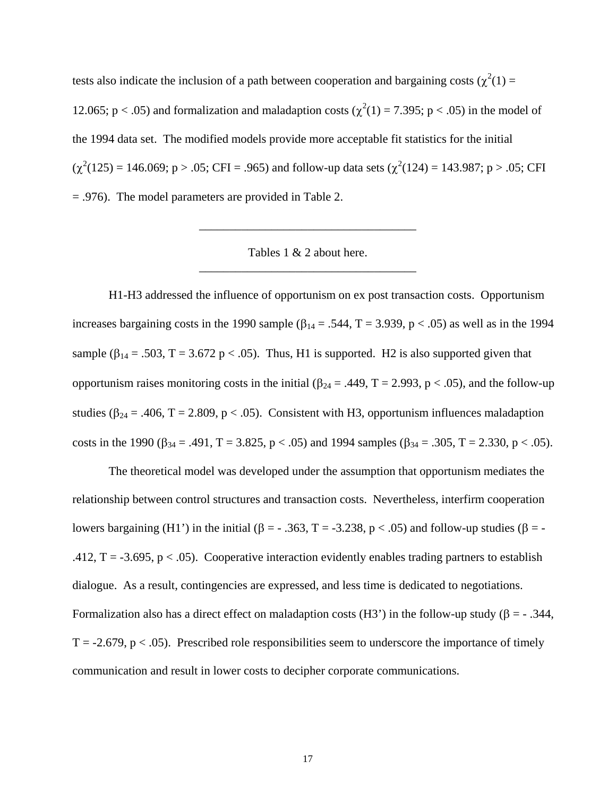tests also indicate the inclusion of a path between cooperation and bargaining costs ( $\chi^2(1)$  = 12.065;  $p < .05$ ) and formalization and maladaption costs ( $\chi^2(1) = 7.395$ ;  $p < .05$ ) in the model of the 1994 data set. The modified models provide more acceptable fit statistics for the initial  $(\chi^2(125) = 146.069; p > .05; CFI = .965)$  and follow-up data sets  $(\chi^2(124) = 143.987; p > .05; CFI$ = .976). The model parameters are provided in Table 2.



\_\_\_\_\_\_\_\_\_\_\_\_\_\_\_\_\_\_\_\_\_\_\_\_\_\_\_\_\_\_\_\_\_\_\_\_

 H1-H3 addressed the influence of opportunism on ex post transaction costs. Opportunism increases bargaining costs in the 1990 sample ( $\beta_{14} = .544$ , T = 3.939, p < .05) as well as in the 1994 sample ( $\beta_{14} = .503$ , T = 3.672 p < .05). Thus, H1 is supported. H2 is also supported given that opportunism raises monitoring costs in the initial ( $\beta_{24} = .449$ , T = 2.993, p < .05), and the follow-up studies ( $\beta_{24} = .406$ , T = 2.809, p < .05). Consistent with H3, opportunism influences maladaption costs in the 1990 ( $\beta_{34} = .491$ , T = 3.825, p < .05) and 1994 samples ( $\beta_{34} = .305$ , T = 2.330, p < .05).

The theoretical model was developed under the assumption that opportunism mediates the relationship between control structures and transaction costs. Nevertheless, interfirm cooperation lowers bargaining (H1') in the initial (β = - .363, T = -3.238, p < .05) and follow-up studies (β = -.412,  $T = -3.695$ ,  $p < .05$ ). Cooperative interaction evidently enables trading partners to establish dialogue. As a result, contingencies are expressed, and less time is dedicated to negotiations. Formalization also has a direct effect on maladaption costs (H3') in the follow-up study (β = - .344,  $T = -2.679$ ,  $p < .05$ ). Prescribed role responsibilities seem to underscore the importance of timely communication and result in lower costs to decipher corporate communications.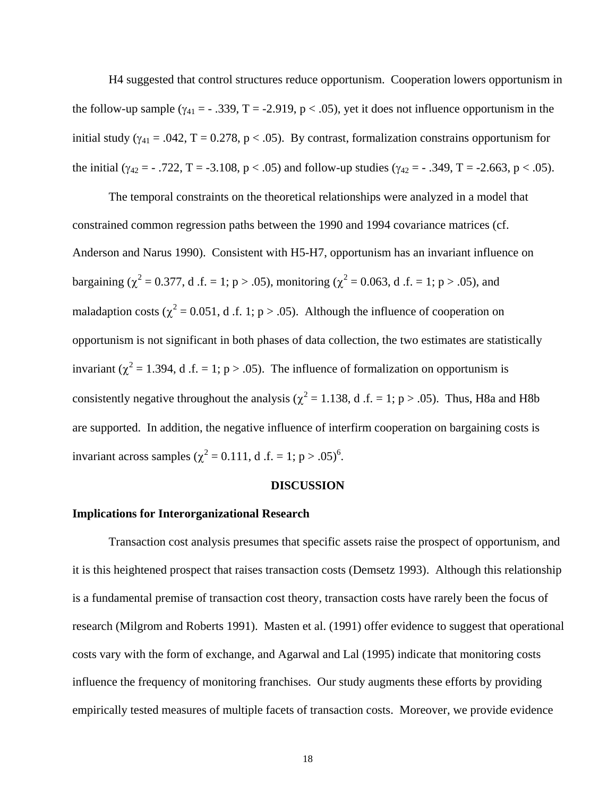H4 suggested that control structures reduce opportunism. Cooperation lowers opportunism in the follow-up sample ( $\gamma_{41} = -0.339$ , T = -2.919, p < .05), yet it does not influence opportunism in the initial study ( $\gamma_{41} = .042$ , T = 0.278, p < .05). By contrast, formalization constrains opportunism for the initial ( $\gamma_{42} = -0.722$ , T = -3.108, p < .05) and follow-up studies ( $\gamma_{42} = -0.349$ , T = -2.663, p < .05).

The temporal constraints on the theoretical relationships were analyzed in a model that constrained common regression paths between the 1990 and 1994 covariance matrices (cf. Anderson and Narus 1990). Consistent with H5-H7, opportunism has an invariant influence on bargaining ( $\chi^2 = 0.377$ , d .f. = 1; p > .05), monitoring ( $\chi^2 = 0.063$ , d .f. = 1; p > .05), and maladaption costs ( $\chi^2$  = 0.051, d .f. 1; p > .05). Although the influence of cooperation on opportunism is not significant in both phases of data collection, the two estimates are statistically invariant ( $\chi^2$  = 1.394, d .f. = 1; p > .05). The influence of formalization on opportunism is consistently negative throughout the analysis ( $\chi^2 = 1.138$ , d.f. = 1; p > .05). Thus, H8a and H8b are supported. In addition, the negative influence of interfirm cooperation on bargaining costs is invariant across samples ( $\chi^2 = 0.111$ , d .f. = 1; p > .05)<sup>6</sup>.

### **DISCUSSION**

## **Implications for Interorganizational Research**

Transaction cost analysis presumes that specific assets raise the prospect of opportunism, and it is this heightened prospect that raises transaction costs (Demsetz 1993). Although this relationship is a fundamental premise of transaction cost theory, transaction costs have rarely been the focus of research (Milgrom and Roberts 1991). Masten et al. (1991) offer evidence to suggest that operational costs vary with the form of exchange, and Agarwal and Lal (1995) indicate that monitoring costs influence the frequency of monitoring franchises. Our study augments these efforts by providing empirically tested measures of multiple facets of transaction costs. Moreover, we provide evidence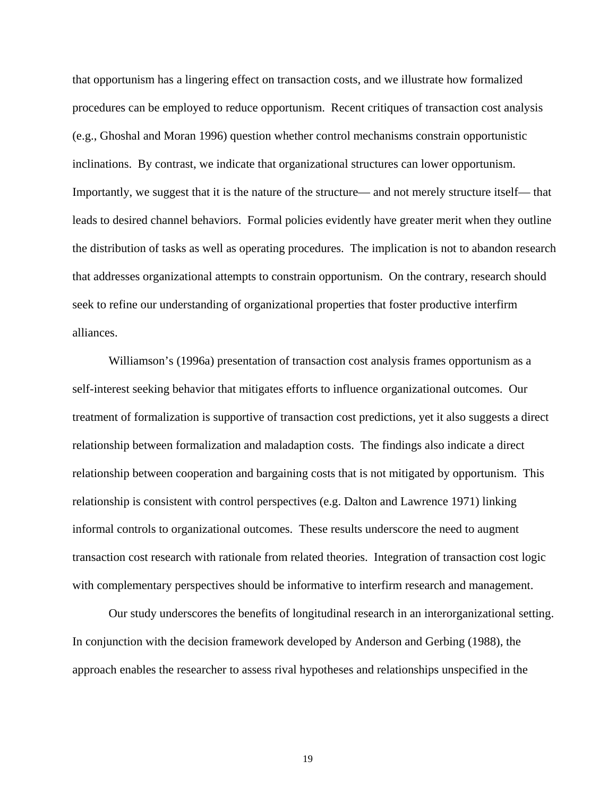that opportunism has a lingering effect on transaction costs, and we illustrate how formalized procedures can be employed to reduce opportunism. Recent critiques of transaction cost analysis (e.g., Ghoshal and Moran 1996) question whether control mechanisms constrain opportunistic inclinations. By contrast, we indicate that organizational structures can lower opportunism. Importantly, we suggest that it is the nature of the structure— and not merely structure itself— that leads to desired channel behaviors. Formal policies evidently have greater merit when they outline the distribution of tasks as well as operating procedures. The implication is not to abandon research that addresses organizational attempts to constrain opportunism. On the contrary, research should seek to refine our understanding of organizational properties that foster productive interfirm alliances.

Williamson's (1996a) presentation of transaction cost analysis frames opportunism as a self-interest seeking behavior that mitigates efforts to influence organizational outcomes. Our treatment of formalization is supportive of transaction cost predictions, yet it also suggests a direct relationship between formalization and maladaption costs. The findings also indicate a direct relationship between cooperation and bargaining costs that is not mitigated by opportunism. This relationship is consistent with control perspectives (e.g. Dalton and Lawrence 1971) linking informal controls to organizational outcomes. These results underscore the need to augment transaction cost research with rationale from related theories. Integration of transaction cost logic with complementary perspectives should be informative to interfirm research and management.

Our study underscores the benefits of longitudinal research in an interorganizational setting. In conjunction with the decision framework developed by Anderson and Gerbing (1988), the approach enables the researcher to assess rival hypotheses and relationships unspecified in the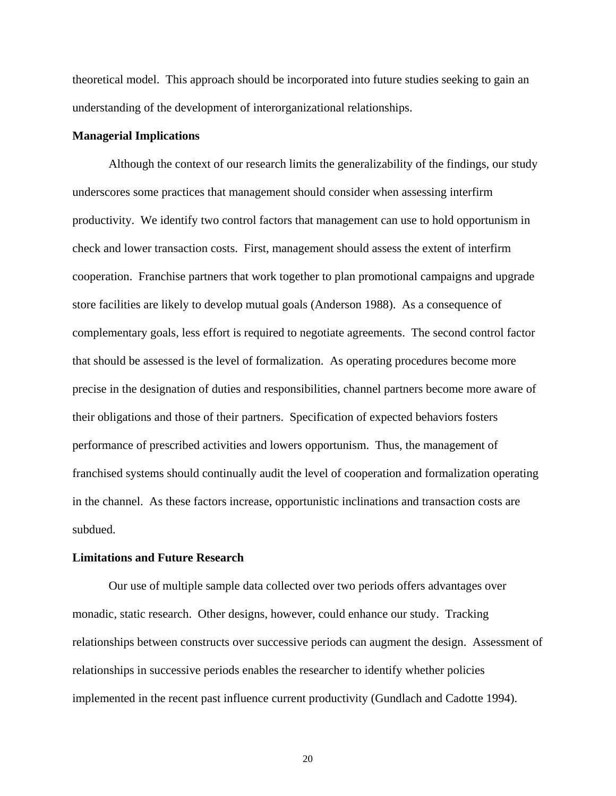theoretical model. This approach should be incorporated into future studies seeking to gain an understanding of the development of interorganizational relationships.

## **Managerial Implications**

 Although the context of our research limits the generalizability of the findings, our study underscores some practices that management should consider when assessing interfirm productivity. We identify two control factors that management can use to hold opportunism in check and lower transaction costs. First, management should assess the extent of interfirm cooperation. Franchise partners that work together to plan promotional campaigns and upgrade store facilities are likely to develop mutual goals (Anderson 1988). As a consequence of complementary goals, less effort is required to negotiate agreements. The second control factor that should be assessed is the level of formalization. As operating procedures become more precise in the designation of duties and responsibilities, channel partners become more aware of their obligations and those of their partners. Specification of expected behaviors fosters performance of prescribed activities and lowers opportunism. Thus, the management of franchised systems should continually audit the level of cooperation and formalization operating in the channel. As these factors increase, opportunistic inclinations and transaction costs are subdued.

### **Limitations and Future Research**

Our use of multiple sample data collected over two periods offers advantages over monadic, static research. Other designs, however, could enhance our study. Tracking relationships between constructs over successive periods can augment the design. Assessment of relationships in successive periods enables the researcher to identify whether policies implemented in the recent past influence current productivity (Gundlach and Cadotte 1994).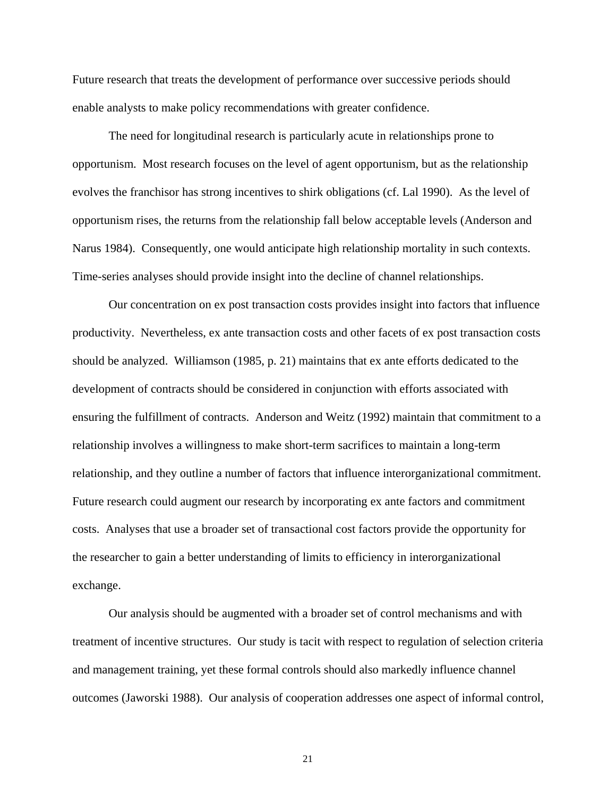Future research that treats the development of performance over successive periods should enable analysts to make policy recommendations with greater confidence.

The need for longitudinal research is particularly acute in relationships prone to opportunism. Most research focuses on the level of agent opportunism, but as the relationship evolves the franchisor has strong incentives to shirk obligations (cf. Lal 1990). As the level of opportunism rises, the returns from the relationship fall below acceptable levels (Anderson and Narus 1984). Consequently, one would anticipate high relationship mortality in such contexts. Time-series analyses should provide insight into the decline of channel relationships.

 Our concentration on ex post transaction costs provides insight into factors that influence productivity. Nevertheless, ex ante transaction costs and other facets of ex post transaction costs should be analyzed. Williamson (1985, p. 21) maintains that ex ante efforts dedicated to the development of contracts should be considered in conjunction with efforts associated with ensuring the fulfillment of contracts. Anderson and Weitz (1992) maintain that commitment to a relationship involves a willingness to make short-term sacrifices to maintain a long-term relationship, and they outline a number of factors that influence interorganizational commitment. Future research could augment our research by incorporating ex ante factors and commitment costs. Analyses that use a broader set of transactional cost factors provide the opportunity for the researcher to gain a better understanding of limits to efficiency in interorganizational exchange.

Our analysis should be augmented with a broader set of control mechanisms and with treatment of incentive structures. Our study is tacit with respect to regulation of selection criteria and management training, yet these formal controls should also markedly influence channel outcomes (Jaworski 1988). Our analysis of cooperation addresses one aspect of informal control,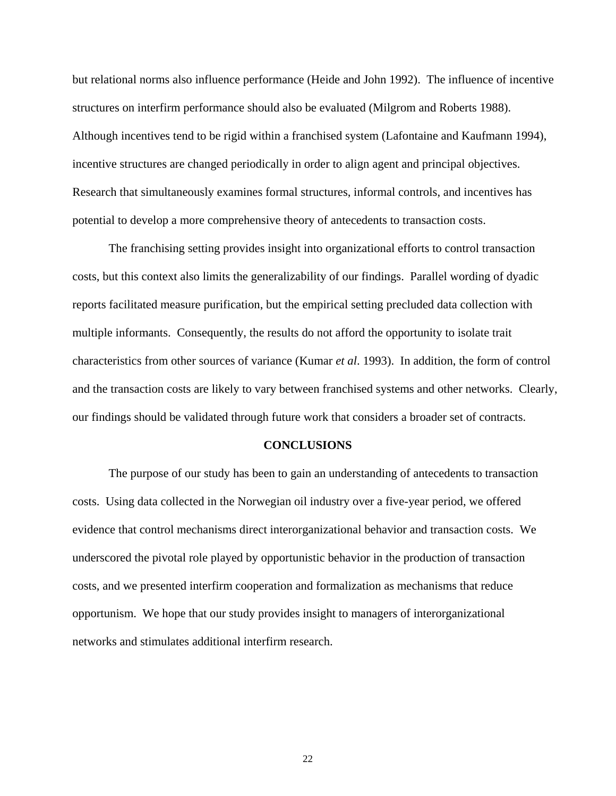but relational norms also influence performance (Heide and John 1992). The influence of incentive structures on interfirm performance should also be evaluated (Milgrom and Roberts 1988). Although incentives tend to be rigid within a franchised system (Lafontaine and Kaufmann 1994), incentive structures are changed periodically in order to align agent and principal objectives. Research that simultaneously examines formal structures, informal controls, and incentives has potential to develop a more comprehensive theory of antecedents to transaction costs.

The franchising setting provides insight into organizational efforts to control transaction costs, but this context also limits the generalizability of our findings. Parallel wording of dyadic reports facilitated measure purification, but the empirical setting precluded data collection with multiple informants. Consequently, the results do not afford the opportunity to isolate trait characteristics from other sources of variance (Kumar *et al*. 1993). In addition, the form of control and the transaction costs are likely to vary between franchised systems and other networks. Clearly, our findings should be validated through future work that considers a broader set of contracts.

### **CONCLUSIONS**

The purpose of our study has been to gain an understanding of antecedents to transaction costs. Using data collected in the Norwegian oil industry over a five-year period, we offered evidence that control mechanisms direct interorganizational behavior and transaction costs. We underscored the pivotal role played by opportunistic behavior in the production of transaction costs, and we presented interfirm cooperation and formalization as mechanisms that reduce opportunism. We hope that our study provides insight to managers of interorganizational networks and stimulates additional interfirm research.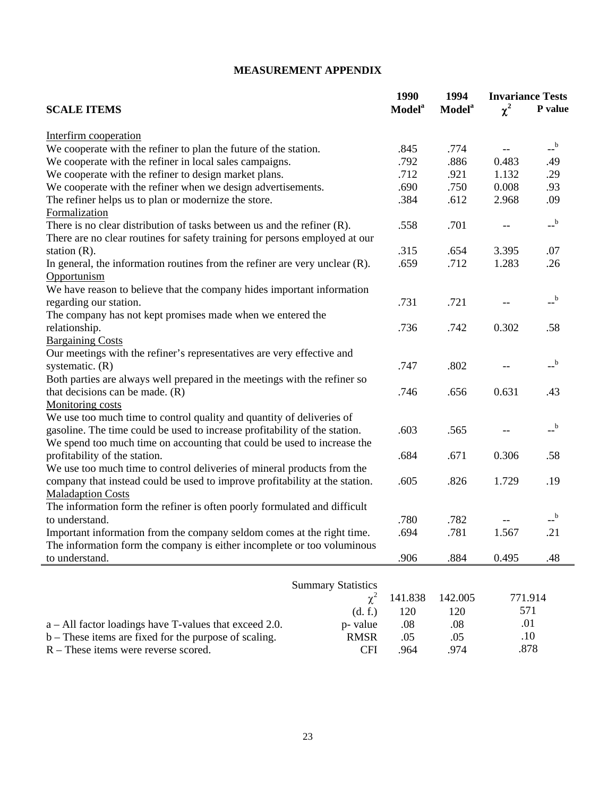# **MEASUREMENT APPENDIX**

|                                                                                |                           | 1990                      | 1994                      | <b>Invariance Tests</b> |         |  |
|--------------------------------------------------------------------------------|---------------------------|---------------------------|---------------------------|-------------------------|---------|--|
| <b>SCALE ITEMS</b>                                                             |                           | <b>Model</b> <sup>a</sup> | <b>Model</b> <sup>a</sup> | $\chi^2$                | P value |  |
|                                                                                |                           |                           |                           |                         |         |  |
| Interfirm cooperation                                                          |                           |                           |                           |                         |         |  |
| We cooperate with the refiner to plan the future of the station.               |                           | .845                      | .774                      |                         | $-$ b   |  |
| We cooperate with the refiner in local sales campaigns.                        |                           | .792                      | .886                      | 0.483                   | .49     |  |
| We cooperate with the refiner to design market plans.                          |                           | .712                      | .921                      | 1.132                   | .29     |  |
| We cooperate with the refiner when we design advertisements.                   |                           | .690                      | .750                      | 0.008                   | .93     |  |
| The refiner helps us to plan or modernize the store.                           |                           | .384                      | .612                      | 2.968                   | .09     |  |
| Formalization                                                                  |                           |                           |                           |                         |         |  |
| There is no clear distribution of tasks between us and the refiner $(R)$ .     |                           | .558                      | .701                      | $-$                     | $-$ b   |  |
| There are no clear routines for safety training for persons employed at our    |                           |                           |                           |                         |         |  |
| station $(R)$ .                                                                |                           | .315                      | .654                      | 3.395                   | .07     |  |
| In general, the information routines from the refiner are very unclear $(R)$ . |                           | .659                      | .712                      | 1.283                   | .26     |  |
| Opportunism                                                                    |                           |                           |                           |                         |         |  |
| We have reason to believe that the company hides important information         |                           |                           |                           |                         |         |  |
| regarding our station.                                                         |                           | .731                      | .721                      |                         | $-$ b   |  |
| The company has not kept promises made when we entered the                     |                           |                           |                           |                         |         |  |
| relationship.                                                                  |                           | .736                      | .742                      | 0.302                   | .58     |  |
| <b>Bargaining Costs</b>                                                        |                           |                           |                           |                         |         |  |
| Our meetings with the refiner's representatives are very effective and         |                           |                           |                           |                         |         |  |
| systematic. $(R)$                                                              |                           | .747                      | .802                      |                         | $-$ b   |  |
| Both parties are always well prepared in the meetings with the refiner so      |                           |                           |                           |                         |         |  |
| that decisions can be made. $(R)$                                              |                           | .746                      | .656                      | 0.631                   | .43     |  |
| Monitoring costs                                                               |                           |                           |                           |                         |         |  |
| We use too much time to control quality and quantity of deliveries of          |                           |                           |                           |                         |         |  |
| gasoline. The time could be used to increase profitability of the station.     |                           | .603                      | .565                      | $-$                     | $-$ b   |  |
| We spend too much time on accounting that could be used to increase the        |                           |                           |                           |                         |         |  |
| profitability of the station.                                                  |                           | .684                      | .671                      | 0.306                   | .58     |  |
| We use too much time to control deliveries of mineral products from the        |                           |                           |                           |                         |         |  |
| company that instead could be used to improve profitability at the station.    |                           | .605                      | .826                      | 1.729                   | .19     |  |
| <b>Maladaption Costs</b>                                                       |                           |                           |                           |                         |         |  |
| The information form the refiner is often poorly formulated and difficult      |                           |                           |                           |                         |         |  |
| to understand.                                                                 |                           | .780                      | .782                      |                         | $-$ b   |  |
| Important information from the company seldom comes at the right time.         |                           | .694                      | .781                      | 1.567                   | .21     |  |
|                                                                                |                           |                           |                           |                         |         |  |
| The information form the company is either incomplete or too voluminous        |                           |                           |                           |                         |         |  |
| to understand.                                                                 |                           | .906                      | .884                      | 0.495                   | .48     |  |
|                                                                                |                           |                           |                           |                         |         |  |
|                                                                                | <b>Summary Statistics</b> |                           |                           |                         |         |  |
|                                                                                | $\chi^2$                  | 141.838                   | 142.005                   | 771.914                 |         |  |
|                                                                                | (d.f.)                    | 120                       | 120                       | 571                     |         |  |
| $a - All factor loadings have T-values that exceed 2.0.$                       | p- value                  | .08                       | .08                       | .01                     |         |  |
| b – These items are fixed for the purpose of scaling.                          | <b>RMSR</b><br><b>CFI</b> | .05                       | .05                       | .10                     |         |  |
| $R$ – These items were reverse scored.                                         | .964                      | .974                      |                           | .878                    |         |  |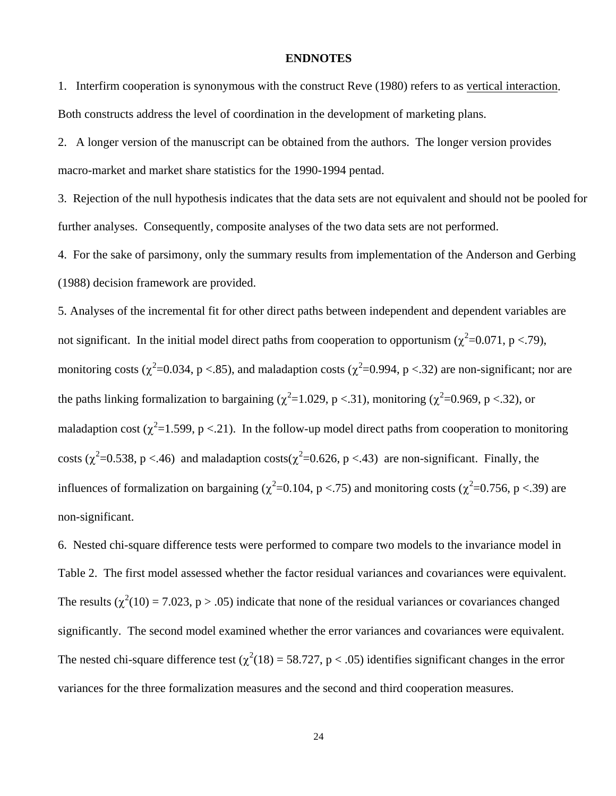#### **ENDNOTES**

1. Interfirm cooperation is synonymous with the construct Reve (1980) refers to as vertical interaction. Both constructs address the level of coordination in the development of marketing plans.

2. A longer version of the manuscript can be obtained from the authors. The longer version provides macro-market and market share statistics for the 1990-1994 pentad.

3. Rejection of the null hypothesis indicates that the data sets are not equivalent and should not be pooled for further analyses. Consequently, composite analyses of the two data sets are not performed.

4. For the sake of parsimony, only the summary results from implementation of the Anderson and Gerbing (1988) decision framework are provided.

5. Analyses of the incremental fit for other direct paths between independent and dependent variables are not significant. In the initial model direct paths from cooperation to opportunism ( $\chi^2$ =0.071, p <.79), monitoring costs ( $\chi^2$ =0.034, p <.85), and maladaption costs ( $\chi^2$ =0.994, p <.32) are non-significant; nor are the paths linking formalization to bargaining ( $\chi^2$ =1.029, p <.31), monitoring ( $\chi^2$ =0.969, p <.32), or maladaption cost ( $\chi^2$ =1.599, p <.21). In the follow-up model direct paths from cooperation to monitoring costs ( $\chi^2$ =0.538, p <.46) and maladaption costs( $\chi^2$ =0.626, p <.43) are non-significant. Finally, the influences of formalization on bargaining ( $\chi^2$ =0.104, p <.75) and monitoring costs ( $\chi^2$ =0.756, p <.39) are non-significant.

6. Nested chi-square difference tests were performed to compare two models to the invariance model in Table 2. The first model assessed whether the factor residual variances and covariances were equivalent. The results ( $\chi^2(10) = 7.023$ , p > .05) indicate that none of the residual variances or covariances changed significantly. The second model examined whether the error variances and covariances were equivalent. The nested chi-square difference test ( $\chi^2(18) = 58.727$ , p < .05) identifies significant changes in the error variances for the three formalization measures and the second and third cooperation measures.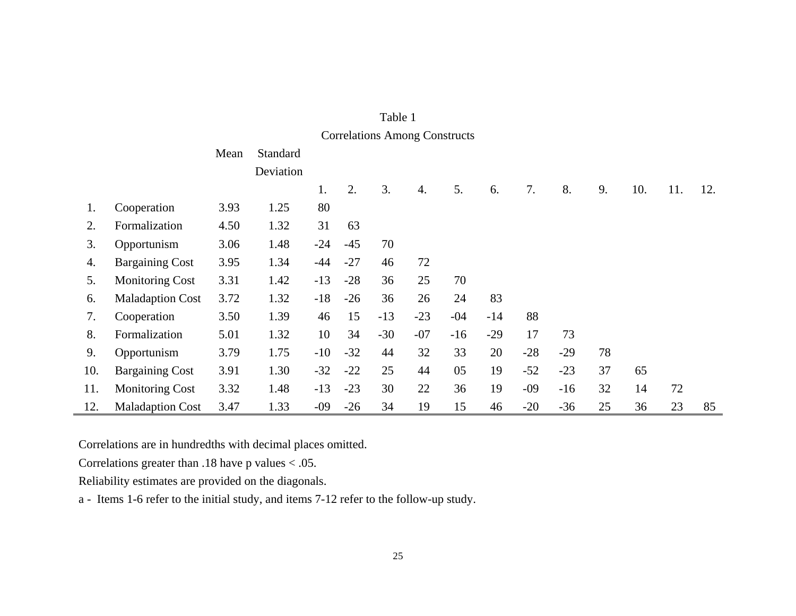|     |                         |      |           |       |       |       | Correlations Among Constructs |       |       |       |       |    |     |     |     |
|-----|-------------------------|------|-----------|-------|-------|-------|-------------------------------|-------|-------|-------|-------|----|-----|-----|-----|
|     |                         | Mean | Standard  |       |       |       |                               |       |       |       |       |    |     |     |     |
|     |                         |      | Deviation |       |       |       |                               |       |       |       |       |    |     |     |     |
|     |                         |      |           | 1.    | 2.    | 3.    | 4.                            | 5.    | 6.    | 7.    | 8.    | 9. | 10. | 11. | 12. |
| 1.  | Cooperation             | 3.93 | 1.25      | 80    |       |       |                               |       |       |       |       |    |     |     |     |
| 2.  | Formalization           | 4.50 | 1.32      | 31    | 63    |       |                               |       |       |       |       |    |     |     |     |
| 3.  | Opportunism             | 3.06 | 1.48      | $-24$ | $-45$ | 70    |                               |       |       |       |       |    |     |     |     |
| 4.  | <b>Bargaining Cost</b>  | 3.95 | 1.34      | $-44$ | $-27$ | 46    | 72                            |       |       |       |       |    |     |     |     |
| 5.  | <b>Monitoring Cost</b>  | 3.31 | 1.42      | $-13$ | $-28$ | 36    | 25                            | 70    |       |       |       |    |     |     |     |
| 6.  | <b>Maladaption Cost</b> | 3.72 | 1.32      | $-18$ | $-26$ | 36    | 26                            | 24    | 83    |       |       |    |     |     |     |
| 7.  | Cooperation             | 3.50 | 1.39      | 46    | 15    | $-13$ | $-23$                         | $-04$ | $-14$ | 88    |       |    |     |     |     |
| 8.  | Formalization           | 5.01 | 1.32      | 10    | 34    | $-30$ | $-07$                         | $-16$ | $-29$ | 17    | 73    |    |     |     |     |
| 9.  | Opportunism             | 3.79 | 1.75      | $-10$ | $-32$ | 44    | 32                            | 33    | 20    | $-28$ | $-29$ | 78 |     |     |     |
| 10. | <b>Bargaining Cost</b>  | 3.91 | 1.30      | $-32$ | $-22$ | 25    | 44                            | 05    | 19    | $-52$ | $-23$ | 37 | 65  |     |     |
| 11. | <b>Monitoring Cost</b>  | 3.32 | 1.48      | $-13$ | $-23$ | 30    | 22                            | 36    | 19    | $-09$ | $-16$ | 32 | 14  | 72  |     |
| 12. | <b>Maladaption Cost</b> | 3.47 | 1.33      | $-09$ | $-26$ | 34    | 19                            | 15    | 46    | $-20$ | $-36$ | 25 | 36  | 23  | 85  |

Table 1 Correlations Among Constructs

Correlations are in hundredths with decimal places omitted.

Correlations greater than .18 have p values < .05.

Reliability estimates are provided on the diagonals.

a - Items 1-6 refer to the initial study, and items 7-12 refer to the follow-up study.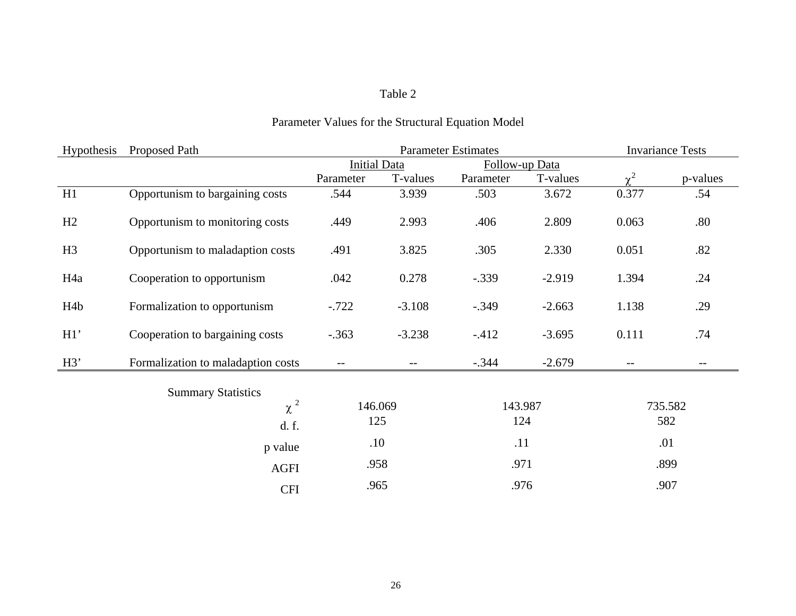#### Table 2

| Parameter Values for the Structural Equation Model |  |  |  |  |  |  |  |  |  |
|----------------------------------------------------|--|--|--|--|--|--|--|--|--|
|----------------------------------------------------|--|--|--|--|--|--|--|--|--|

| Hypothesis       | Proposed Path                      |                       | <b>Parameter Estimates</b> | <b>Invariance Tests</b> |          |                   |          |  |
|------------------|------------------------------------|-----------------------|----------------------------|-------------------------|----------|-------------------|----------|--|
|                  |                                    | <b>Initial Data</b>   |                            | Follow-up Data          |          |                   |          |  |
|                  |                                    | Parameter<br>T-values |                            | Parameter               | T-values | $v^2$             | p-values |  |
| H1               | Opportunism to bargaining costs    | .544                  | 3.939                      | .503                    | 3.672    | 0.377             | .54      |  |
| H2               | Opportunism to monitoring costs    | .449                  | 2.993<br>.406              |                         | 2.809    | 0.063             | .80      |  |
| H <sub>3</sub>   | Opportunism to maladaption costs   | .491                  | 3.825                      | .305                    | 2.330    | 0.051             | .82      |  |
| H <sub>4a</sub>  | Cooperation to opportunism         | .042                  | 0.278                      | $-.339$                 | $-2.919$ | 1.394             | .24      |  |
| H <sub>4</sub> b | Formalization to opportunism       | $-0.722$              | $-3.108$                   | $-.349$                 | $-2.663$ | 1.138             | .29      |  |
| H1'              | Cooperation to bargaining costs    | $-.363$               | $-3.238$                   | $-412$                  | $-3.695$ | 0.111             | .74      |  |
| H3'              | Formalization to maladaption costs | $\qquad \qquad -$     |                            | $-.344$                 | $-2.679$ | $\qquad \qquad -$ |          |  |
|                  | <b>Summary Statistics</b>          |                       |                            |                         |          |                   |          |  |
|                  | $\chi^2$                           | 146.069<br>125        |                            | 143.987                 |          | 735.582<br>582    |          |  |
|                  | d. f.                              |                       |                            | 124                     |          |                   |          |  |
|                  | p value                            | .10                   |                            | .11                     |          | .01               |          |  |
|                  | <b>AGFI</b>                        | .958                  |                            | .971                    |          | .899              |          |  |
|                  | <b>CFI</b>                         | .965                  |                            | .976                    |          | .907              |          |  |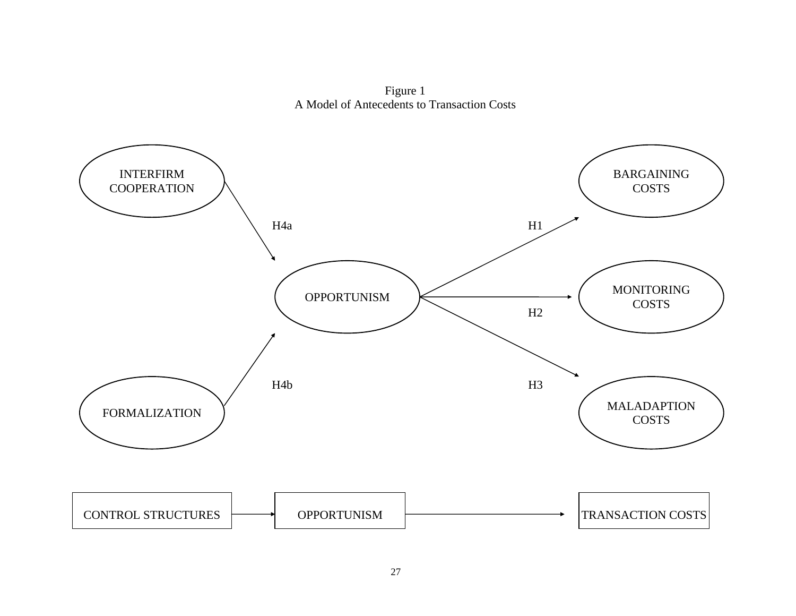

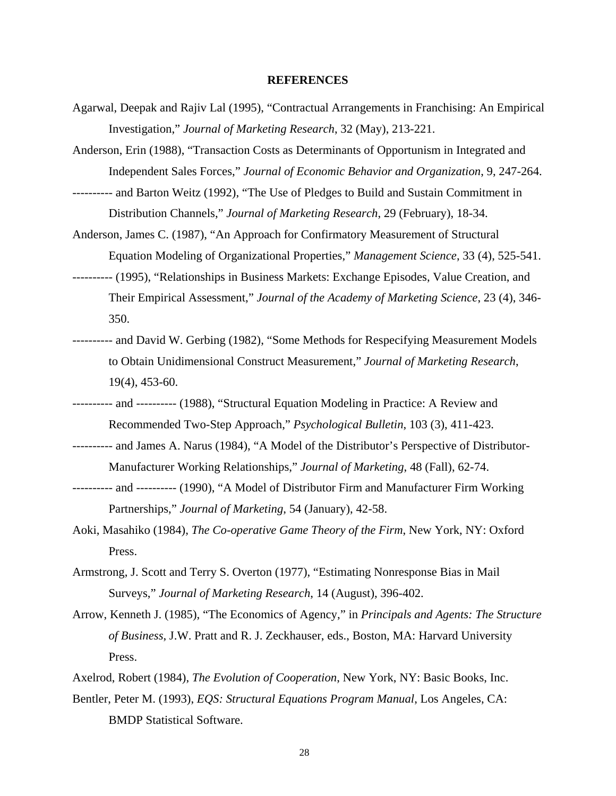#### **REFERENCES**

- Agarwal, Deepak and Rajiv Lal (1995), "Contractual Arrangements in Franchising: An Empirical Investigation," *Journal of Marketing Research*, 32 (May), 213-221.
- Anderson, Erin (1988), "Transaction Costs as Determinants of Opportunism in Integrated and Independent Sales Forces," *Journal of Economic Behavior and Organization*, 9, 247-264.
- ---------- and Barton Weitz (1992), "The Use of Pledges to Build and Sustain Commitment in Distribution Channels," *Journal of Marketing Research*, 29 (February), 18-34.
- Anderson, James C. (1987), "An Approach for Confirmatory Measurement of Structural Equation Modeling of Organizational Properties," *Management Science*, 33 (4), 525-541.
- ---------- (1995), "Relationships in Business Markets: Exchange Episodes, Value Creation, and Their Empirical Assessment," *Journal of the Academy of Marketing Science*, 23 (4), 346- 350.
- ---------- and David W. Gerbing (1982), "Some Methods for Respecifying Measurement Models to Obtain Unidimensional Construct Measurement," *Journal of Marketing Research*, 19(4), 453-60.
- ---------- and ---------- (1988), "Structural Equation Modeling in Practice: A Review and Recommended Two-Step Approach," *Psychological Bulletin*, 103 (3), 411-423.
- ---------- and James A. Narus (1984), "A Model of the Distributor's Perspective of Distributor-Manufacturer Working Relationships," *Journal of Marketing*, 48 (Fall), 62-74.
- ---------- and ---------- (1990), "A Model of Distributor Firm and Manufacturer Firm Working Partnerships," *Journal of Marketing*, 54 (January), 42-58.
- Aoki, Masahiko (1984), *The Co-operative Game Theory of the Firm*, New York, NY: Oxford Press.
- Armstrong, J. Scott and Terry S. Overton (1977), "Estimating Nonresponse Bias in Mail Surveys," *Journal of Marketing Research*, 14 (August), 396-402.
- Arrow, Kenneth J. (1985), "The Economics of Agency," in *Principals and Agents: The Structure of Business*, J.W. Pratt and R. J. Zeckhauser, eds., Boston, MA: Harvard University Press.
- Axelrod, Robert (1984), *The Evolution of Cooperation*, New York, NY: Basic Books, Inc.
- Bentler, Peter M. (1993), *EQS: Structural Equations Program Manual*, Los Angeles, CA: BMDP Statistical Software.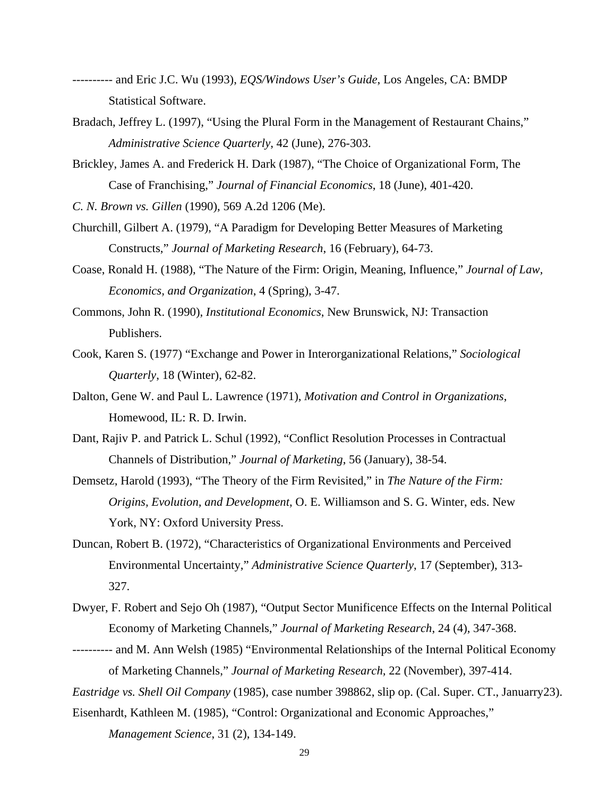- ---------- and Eric J.C. Wu (1993), *EQS/Windows User's Guide*, Los Angeles, CA: BMDP Statistical Software.
- Bradach, Jeffrey L. (1997), "Using the Plural Form in the Management of Restaurant Chains," *Administrative Science Quarterly*, 42 (June), 276-303.
- Brickley, James A. and Frederick H. Dark (1987), "The Choice of Organizational Form, The Case of Franchising," *Journal of Financial Economics*, 18 (June), 401-420.

*C. N. Brown vs. Gillen* (1990), 569 A.2d 1206 (Me).

- Churchill, Gilbert A. (1979), "A Paradigm for Developing Better Measures of Marketing Constructs," *Journal of Marketing Research*, 16 (February), 64-73.
- Coase, Ronald H. (1988), "The Nature of the Firm: Origin, Meaning, Influence," *Journal of Law, Economics, and Organization*, 4 (Spring), 3-47.
- Commons, John R. (1990), *Institutional Economics*, New Brunswick, NJ: Transaction Publishers.
- Cook, Karen S. (1977) "Exchange and Power in Interorganizational Relations," *Sociological Quarterly*, 18 (Winter), 62-82.
- Dalton, Gene W. and Paul L. Lawrence (1971), *Motivation and Control in Organizations*, Homewood, IL: R. D. Irwin.
- Dant, Rajiv P. and Patrick L. Schul (1992), "Conflict Resolution Processes in Contractual Channels of Distribution," *Journal of Marketing*, 56 (January), 38-54.
- Demsetz, Harold (1993), "The Theory of the Firm Revisited," in *The Nature of the Firm: Origins, Evolution, and Development*, O. E. Williamson and S. G. Winter, eds. New York, NY: Oxford University Press.
- Duncan, Robert B. (1972), "Characteristics of Organizational Environments and Perceived Environmental Uncertainty," *Administrative Science Quarterly*, 17 (September), 313- 327.
- Dwyer, F. Robert and Sejo Oh (1987), "Output Sector Munificence Effects on the Internal Political Economy of Marketing Channels," *Journal of Marketing Research*, 24 (4), 347-368.
- ---------- and M. Ann Welsh (1985) "Environmental Relationships of the Internal Political Economy of Marketing Channels," *Journal of Marketing Research,* 22 (November), 397-414.

*Eastridge vs. Shell Oil Company* (1985), case number 398862, slip op. (Cal. Super. CT., Januarry23).

Eisenhardt, Kathleen M. (1985), "Control: Organizational and Economic Approaches,"

*Management Science*, 31 (2), 134-149.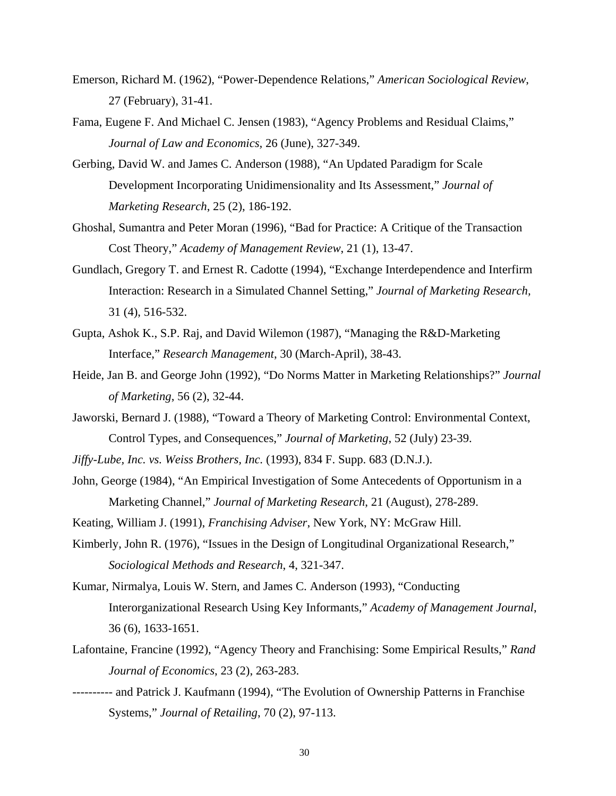- Emerson, Richard M. (1962), "Power-Dependence Relations," *American Sociological Review*, 27 (February), 31-41.
- Fama, Eugene F. And Michael C. Jensen (1983), "Agency Problems and Residual Claims," *Journal of Law and Economics,* 26 (June), 327-349.
- Gerbing, David W. and James C. Anderson (1988), "An Updated Paradigm for Scale Development Incorporating Unidimensionality and Its Assessment," *Journal of Marketing Research*, 25 (2), 186-192.
- Ghoshal, Sumantra and Peter Moran (1996), "Bad for Practice: A Critique of the Transaction Cost Theory," *Academy of Management Review*, 21 (1), 13-47.
- Gundlach, Gregory T. and Ernest R. Cadotte (1994), "Exchange Interdependence and Interfirm Interaction: Research in a Simulated Channel Setting," *Journal of Marketing Research,* 31 (4), 516-532.
- Gupta, Ashok K., S.P. Raj, and David Wilemon (1987), "Managing the R&D-Marketing Interface," *Research Management*, 30 (March-April), 38-43.
- Heide, Jan B. and George John (1992), "Do Norms Matter in Marketing Relationships?" *Journal of Marketing*, 56 (2), 32-44.
- Jaworski, Bernard J. (1988), "Toward a Theory of Marketing Control: Environmental Context, Control Types, and Consequences," *Journal of Marketing*, 52 (July) 23-39.
- *Jiffy-Lube, Inc. vs. Weiss Brothers, Inc.* (1993), 834 F. Supp. 683 (D.N.J.).
- John, George (1984), "An Empirical Investigation of Some Antecedents of Opportunism in a Marketing Channel," *Journal of Marketing Research*, 21 (August), 278-289.
- Keating, William J. (1991), *Franchising Adviser*, New York, NY: McGraw Hill.
- Kimberly, John R. (1976), "Issues in the Design of Longitudinal Organizational Research," *Sociological Methods and Research*, 4, 321-347.
- Kumar, Nirmalya, Louis W. Stern, and James C. Anderson (1993), "Conducting Interorganizational Research Using Key Informants," *Academy of Management Journal*, 36 (6), 1633-1651.
- Lafontaine, Francine (1992), "Agency Theory and Franchising: Some Empirical Results," *Rand Journal of Economics*, 23 (2), 263-283.
- ---------- and Patrick J. Kaufmann (1994), "The Evolution of Ownership Patterns in Franchise Systems," *Journal of Retailing*, 70 (2), 97-113.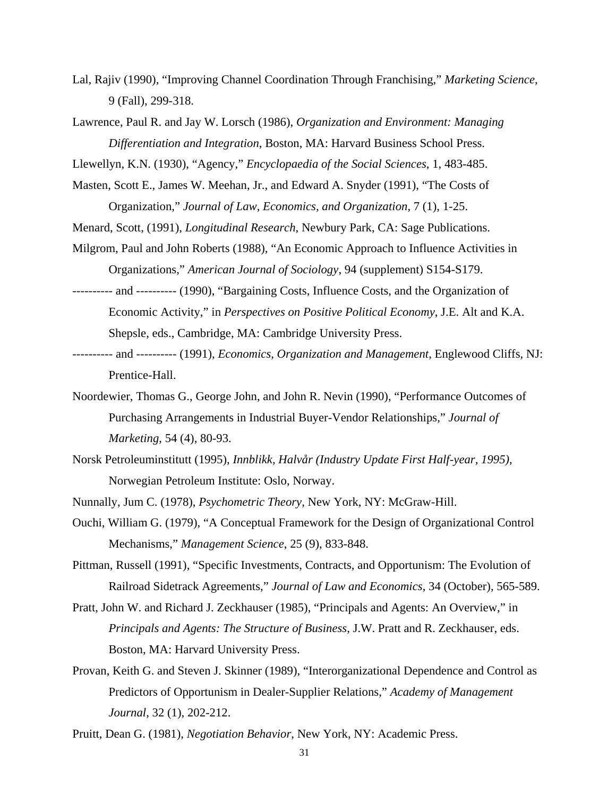- Lal, Rajiv (1990), "Improving Channel Coordination Through Franchising," *Marketing Science*, 9 (Fall), 299-318.
- Lawrence, Paul R. and Jay W. Lorsch (1986), *Organization and Environment: Managing Differentiation and Integration*, Boston, MA: Harvard Business School Press.

Llewellyn, K.N. (1930), "Agency," *Encyclopaedia of the Social Sciences*, 1, 483-485.

Masten, Scott E., James W. Meehan, Jr., and Edward A. Snyder (1991), "The Costs of Organization," *Journal of Law, Economics, and Organization*, 7 (1), 1-25.

Menard, Scott, (1991), *Longitudinal Research*, Newbury Park, CA: Sage Publications.

- Milgrom, Paul and John Roberts (1988), "An Economic Approach to Influence Activities in Organizations," *American Journal of Sociology*, 94 (supplement) S154-S179.
- ---------- and ---------- (1990), "Bargaining Costs, Influence Costs, and the Organization of Economic Activity," in *Perspectives on Positive Political Economy*, J.E. Alt and K.A. Shepsle, eds., Cambridge, MA: Cambridge University Press.
- ---------- and ---------- (1991), *Economics, Organization and Management*, Englewood Cliffs, NJ: Prentice-Hall.
- Noordewier, Thomas G., George John, and John R. Nevin (1990), "Performance Outcomes of Purchasing Arrangements in Industrial Buyer-Vendor Relationships," *Journal of Marketing*, 54 (4), 80-93.
- Norsk Petroleuminstitutt (1995), *Innblikk, Halvår (Industry Update First Half-year, 1995)*, Norwegian Petroleum Institute: Oslo, Norway.
- Nunnally, Jum C. (1978), *Psychometric Theory*, New York, NY: McGraw-Hill.
- Ouchi, William G. (1979), "A Conceptual Framework for the Design of Organizational Control Mechanisms," *Management Science*, 25 (9), 833-848.
- Pittman, Russell (1991), "Specific Investments, Contracts, and Opportunism: The Evolution of Railroad Sidetrack Agreements," *Journal of Law and Economics*, 34 (October), 565-589.
- Pratt, John W. and Richard J. Zeckhauser (1985), "Principals and Agents: An Overview," in *Principals and Agents: The Structure of Business*, J.W. Pratt and R. Zeckhauser, eds. Boston, MA: Harvard University Press.
- Provan, Keith G. and Steven J. Skinner (1989), "Interorganizational Dependence and Control as Predictors of Opportunism in Dealer-Supplier Relations," *Academy of Management Journal*, 32 (1), 202-212.
- Pruitt, Dean G. (1981), *Negotiation Behavior*, New York, NY: Academic Press.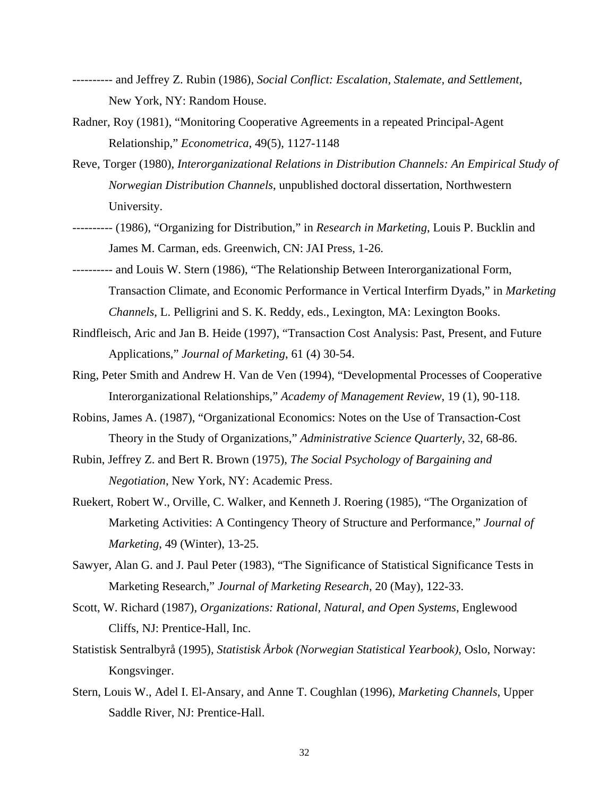- ---------- and Jeffrey Z. Rubin (1986), *Social Conflict: Escalation, Stalemate, and Settlement*, New York, NY: Random House.
- Radner, Roy (1981), "Monitoring Cooperative Agreements in a repeated Principal-Agent Relationship," *Econometrica*, 49(5), 1127-1148
- Reve, Torger (1980), *Interorganizational Relations in Distribution Channels: An Empirical Study of Norwegian Distribution Channels*, unpublished doctoral dissertation, Northwestern University.
- ---------- (1986), "Organizing for Distribution," in *Research in Marketing*, Louis P. Bucklin and James M. Carman, eds. Greenwich, CN: JAI Press, 1-26.
- ---------- and Louis W. Stern (1986), "The Relationship Between Interorganizational Form, Transaction Climate, and Economic Performance in Vertical Interfirm Dyads," in *Marketing Channels*, L. Pelligrini and S. K. Reddy, eds., Lexington, MA: Lexington Books.
- Rindfleisch, Aric and Jan B. Heide (1997), "Transaction Cost Analysis: Past, Present, and Future Applications," *Journal of Marketing*, 61 (4) 30-54.
- Ring, Peter Smith and Andrew H. Van de Ven (1994), "Developmental Processes of Cooperative Interorganizational Relationships," *Academy of Management Review*, 19 (1), 90-118.
- Robins, James A. (1987), "Organizational Economics: Notes on the Use of Transaction-Cost Theory in the Study of Organizations," *Administrative Science Quarterly*, 32, 68-86.
- Rubin, Jeffrey Z. and Bert R. Brown (1975), *The Social Psychology of Bargaining and Negotiation*, New York, NY: Academic Press.
- Ruekert, Robert W., Orville, C. Walker, and Kenneth J. Roering (1985), "The Organization of Marketing Activities: A Contingency Theory of Structure and Performance," *Journal of Marketing*, 49 (Winter), 13-25.
- Sawyer, Alan G. and J. Paul Peter (1983), "The Significance of Statistical Significance Tests in Marketing Research," *Journal of Marketing Research*, 20 (May), 122-33.
- Scott, W. Richard (1987), *Organizations: Rational, Natural, and Open Systems*, Englewood Cliffs, NJ: Prentice-Hall, Inc.
- Statistisk Sentralbyrå (1995), *Statistisk Årbok (Norwegian Statistical Yearbook)*, Oslo, Norway: Kongsvinger.
- Stern, Louis W., Adel I. El-Ansary, and Anne T. Coughlan (1996), *Marketing Channels*, Upper Saddle River, NJ: Prentice-Hall.